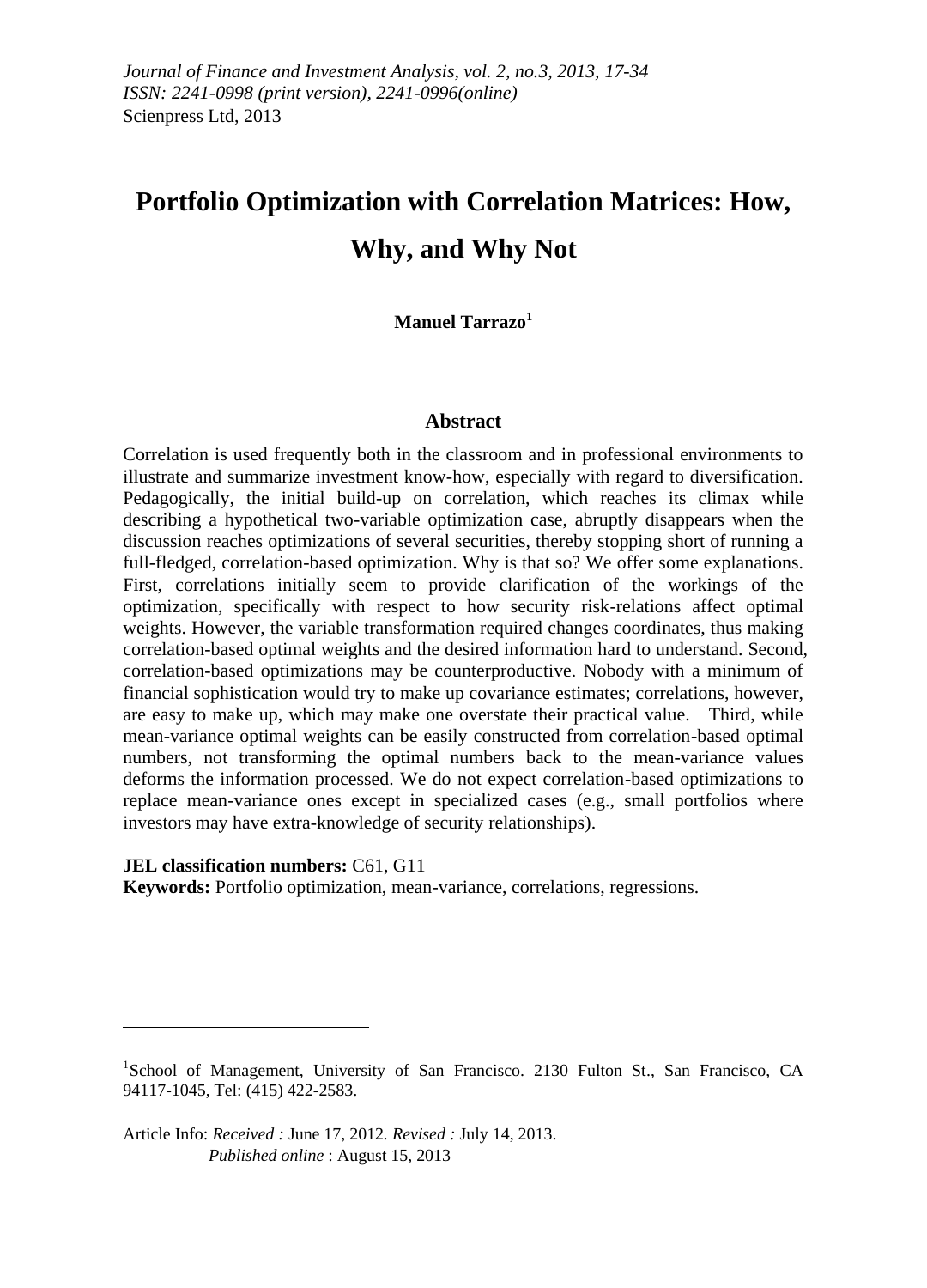# **Portfolio Optimization with Correlation Matrices: How, Why, and Why Not**

### **Manuel Tarrazo<sup>1</sup>**

#### **Abstract**

Correlation is used frequently both in the classroom and in professional environments to illustrate and summarize investment know-how, especially with regard to diversification. Pedagogically, the initial build-up on correlation, which reaches its climax while describing a hypothetical two-variable optimization case, abruptly disappears when the discussion reaches optimizations of several securities, thereby stopping short of running a full-fledged, correlation-based optimization. Why is that so? We offer some explanations. First, correlations initially seem to provide clarification of the workings of the optimization, specifically with respect to how security risk-relations affect optimal weights. However, the variable transformation required changes coordinates, thus making correlation-based optimal weights and the desired information hard to understand. Second, correlation-based optimizations may be counterproductive. Nobody with a minimum of financial sophistication would try to make up covariance estimates; correlations, however, are easy to make up, which may make one overstate their practical value. Third, while mean-variance optimal weights can be easily constructed from correlation-based optimal numbers, not transforming the optimal numbers back to the mean-variance values deforms the information processed. We do not expect correlation-based optimizations to replace mean-variance ones except in specialized cases (e.g., small portfolios where investors may have extra-knowledge of security relationships).

**JEL classification numbers:** C61, G11

 $\overline{a}$ 

**Keywords:** Portfolio optimization, mean-variance, correlations, regressions.

<sup>&</sup>lt;sup>1</sup>School of Management, University of San Francisco. 2130 Fulton St., San Francisco, CA 94117-1045, Tel: (415) 422-2583.

Article Info: *Received :* June 17, 2012*. Revised :* July 14, 2013.  *Published online* : August 15, 2013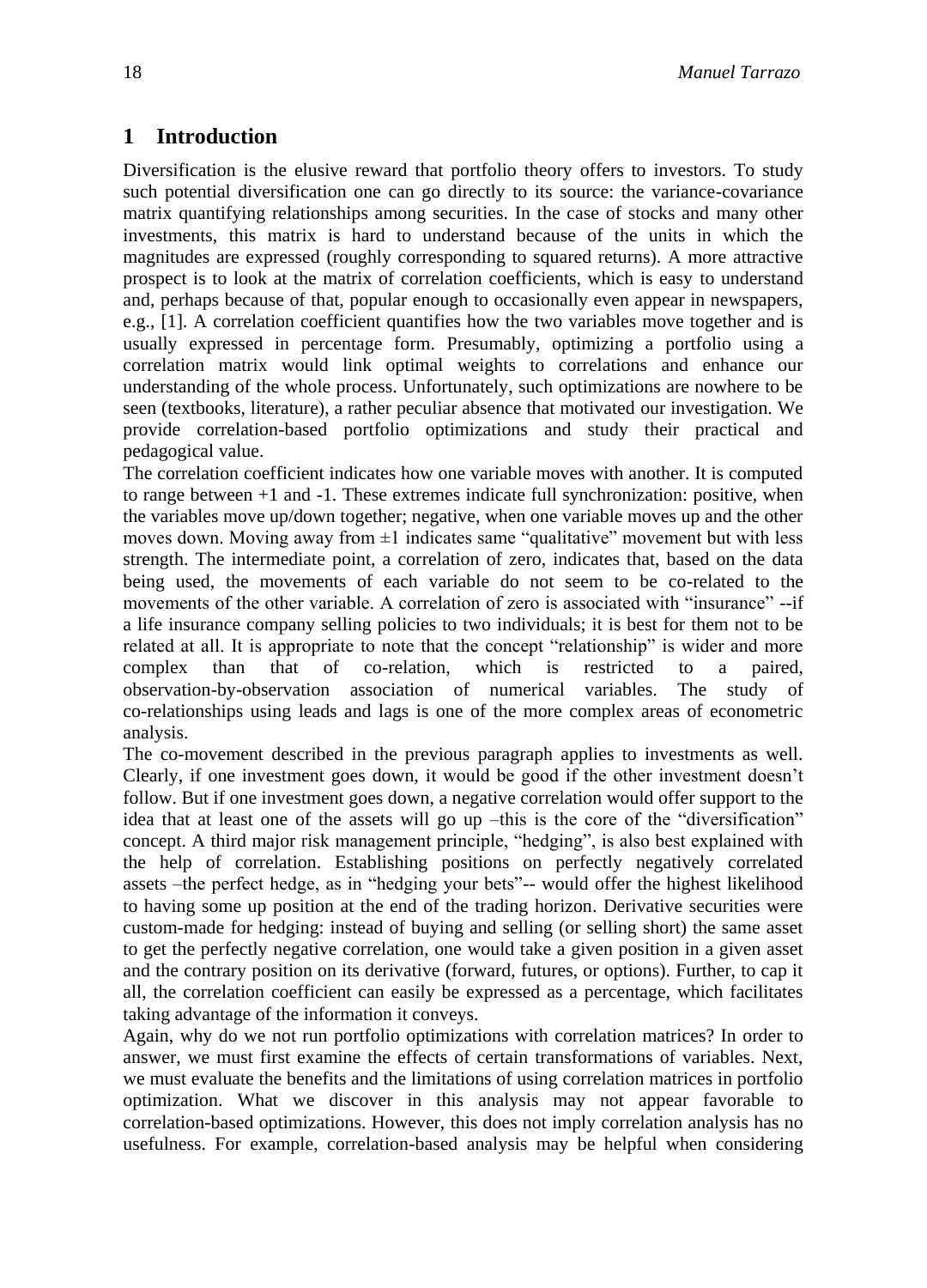## **1 Introduction**

Diversification is the elusive reward that portfolio theory offers to investors. To study such potential diversification one can go directly to its source: the variance-covariance matrix quantifying relationships among securities. In the case of stocks and many other investments, this matrix is hard to understand because of the units in which the magnitudes are expressed (roughly corresponding to squared returns). A more attractive prospect is to look at the matrix of correlation coefficients, which is easy to understand and, perhaps because of that, popular enough to occasionally even appear in newspapers, e.g., [1]. A correlation coefficient quantifies how the two variables move together and is usually expressed in percentage form. Presumably, optimizing a portfolio using a correlation matrix would link optimal weights to correlations and enhance our understanding of the whole process. Unfortunately, such optimizations are nowhere to be seen (textbooks, literature), a rather peculiar absence that motivated our investigation. We provide correlation-based portfolio optimizations and study their practical and pedagogical value.

The correlation coefficient indicates how one variable moves with another. It is computed to range between +1 and -1. These extremes indicate full synchronization: positive, when the variables move up/down together; negative, when one variable moves up and the other moves down. Moving away from  $\pm 1$  indicates same "qualitative" movement but with less strength. The intermediate point, a correlation of zero, indicates that, based on the data being used, the movements of each variable do not seem to be co-related to the movements of the other variable. A correlation of zero is associated with "insurance" --if a life insurance company selling policies to two individuals; it is best for them not to be related at all. It is appropriate to note that the concept "relationship" is wider and more complex than that of co-relation, which is restricted to a paired, observation-by-observation association of numerical variables. The study of co-relationships using leads and lags is one of the more complex areas of econometric analysis.

The co-movement described in the previous paragraph applies to investments as well. Clearly, if one investment goes down, it would be good if the other investment doesn't follow. But if one investment goes down, a negative correlation would offer support to the idea that at least one of the assets will go up –this is the core of the "diversification" concept. A third major risk management principle, "hedging", is also best explained with the help of correlation. Establishing positions on perfectly negatively correlated assets -the perfect hedge, as in "hedging your bets"-- would offer the highest likelihood to having some up position at the end of the trading horizon. Derivative securities were custom-made for hedging: instead of buying and selling (or selling short) the same asset to get the perfectly negative correlation, one would take a given position in a given asset and the contrary position on its derivative (forward, futures, or options). Further, to cap it all, the correlation coefficient can easily be expressed as a percentage, which facilitates taking advantage of the information it conveys.

Again, why do we not run portfolio optimizations with correlation matrices? In order to answer, we must first examine the effects of certain transformations of variables. Next, we must evaluate the benefits and the limitations of using correlation matrices in portfolio optimization. What we discover in this analysis may not appear favorable to correlation-based optimizations. However, this does not imply correlation analysis has no usefulness. For example, correlation-based analysis may be helpful when considering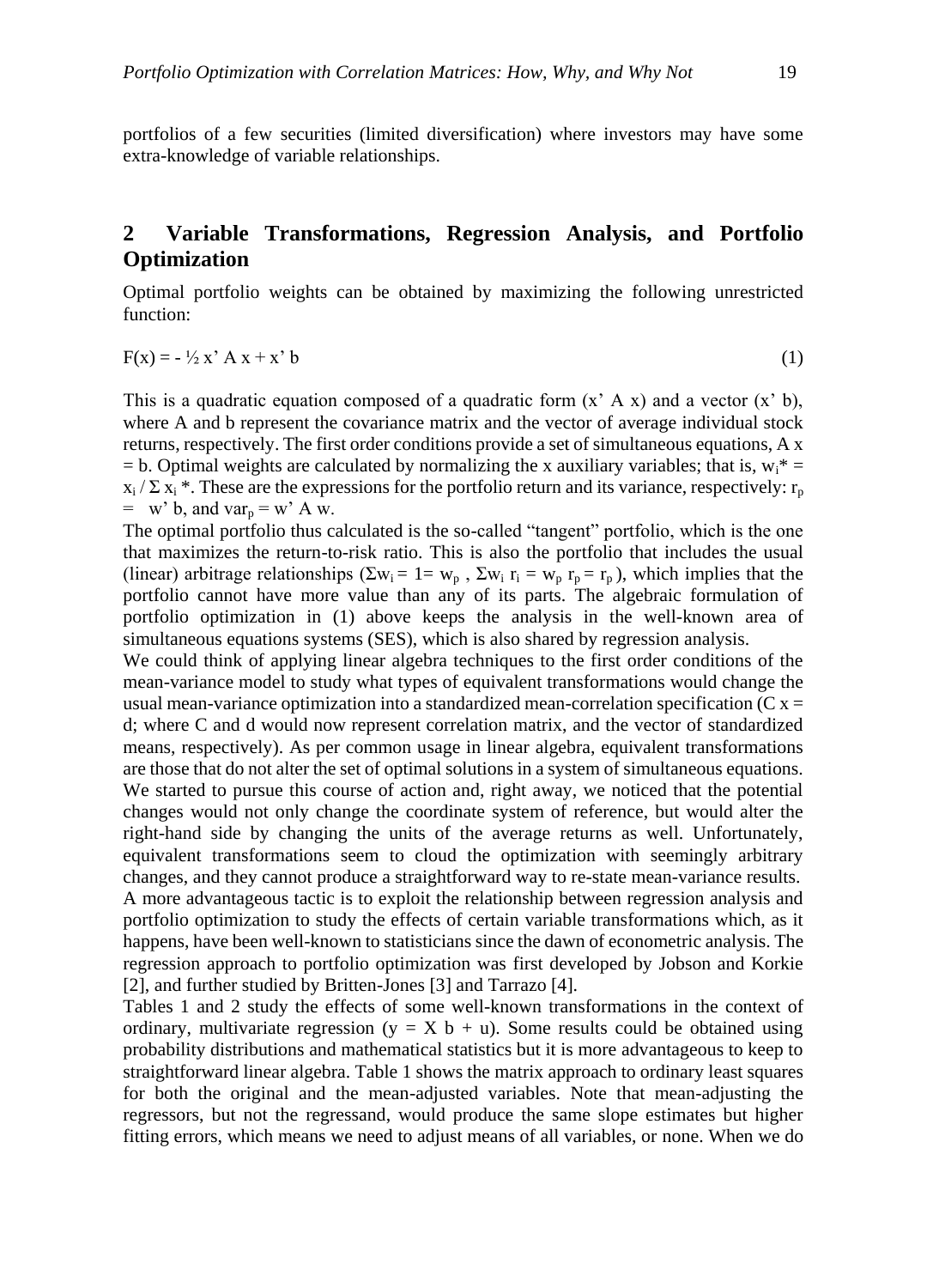portfolios of a few securities (limited diversification) where investors may have some extra-knowledge of variable relationships.

# **2 Variable Transformations, Regression Analysis, and Portfolio Optimization**

Optimal portfolio weights can be obtained by maximizing the following unrestricted function:

$$
F(x) = -\frac{1}{2}x' A x + x' b \tag{1}
$$

This is a quadratic equation composed of a quadratic form  $(x' A x)$  and a vector  $(x' b)$ , where A and b represent the covariance matrix and the vector of average individual stock returns, respectively. The first order conditions provide a set of simultaneous equations, A x  $=$  b. Optimal weights are calculated by normalizing the x auxiliary variables; that is,  $w_i^* =$  $x_i / \sum x_i$ <sup>\*</sup>. These are the expressions for the portfolio return and its variance, respectively: r<sub>p</sub>  $=$  w' b, and var<sub>p</sub>  $=$  w' A w.

The optimal portfolio thus calculated is the so-called "tangent" portfolio, which is the one that maximizes the return-to-risk ratio. This is also the portfolio that includes the usual (linear) arbitrage relationships ( $\Sigma w_i = 1 = w_p$ ,  $\Sigma w_i$  r<sub>i</sub> =  $w_p$  r<sub>p</sub> = r<sub>p</sub>), which implies that the portfolio cannot have more value than any of its parts. The algebraic formulation of portfolio optimization in (1) above keeps the analysis in the well-known area of simultaneous equations systems (SES), which is also shared by regression analysis.

We could think of applying linear algebra techniques to the first order conditions of the mean-variance model to study what types of equivalent transformations would change the usual mean-variance optimization into a standardized mean-correlation specification ( $C x =$ d; where C and d would now represent correlation matrix, and the vector of standardized means, respectively). As per common usage in linear algebra, equivalent transformations are those that do not alter the set of optimal solutions in a system of simultaneous equations. We started to pursue this course of action and, right away, we noticed that the potential changes would not only change the coordinate system of reference, but would alter the right-hand side by changing the units of the average returns as well. Unfortunately, equivalent transformations seem to cloud the optimization with seemingly arbitrary changes, and they cannot produce a straightforward way to re-state mean-variance results. A more advantageous tactic is to exploit the relationship between regression analysis and portfolio optimization to study the effects of certain variable transformations which, as it happens, have been well-known to statisticians since the dawn of econometric analysis. The regression approach to portfolio optimization was first developed by Jobson and Korkie [2], and further studied by Britten-Jones [3] and Tarrazo [4].

Tables 1 and 2 study the effects of some well-known transformations in the context of ordinary, multivariate regression ( $y = X b + u$ ). Some results could be obtained using probability distributions and mathematical statistics but it is more advantageous to keep to straightforward linear algebra. Table 1 shows the matrix approach to ordinary least squares for both the original and the mean-adjusted variables. Note that mean-adjusting the regressors, but not the regressand, would produce the same slope estimates but higher fitting errors, which means we need to adjust means of all variables, or none. When we do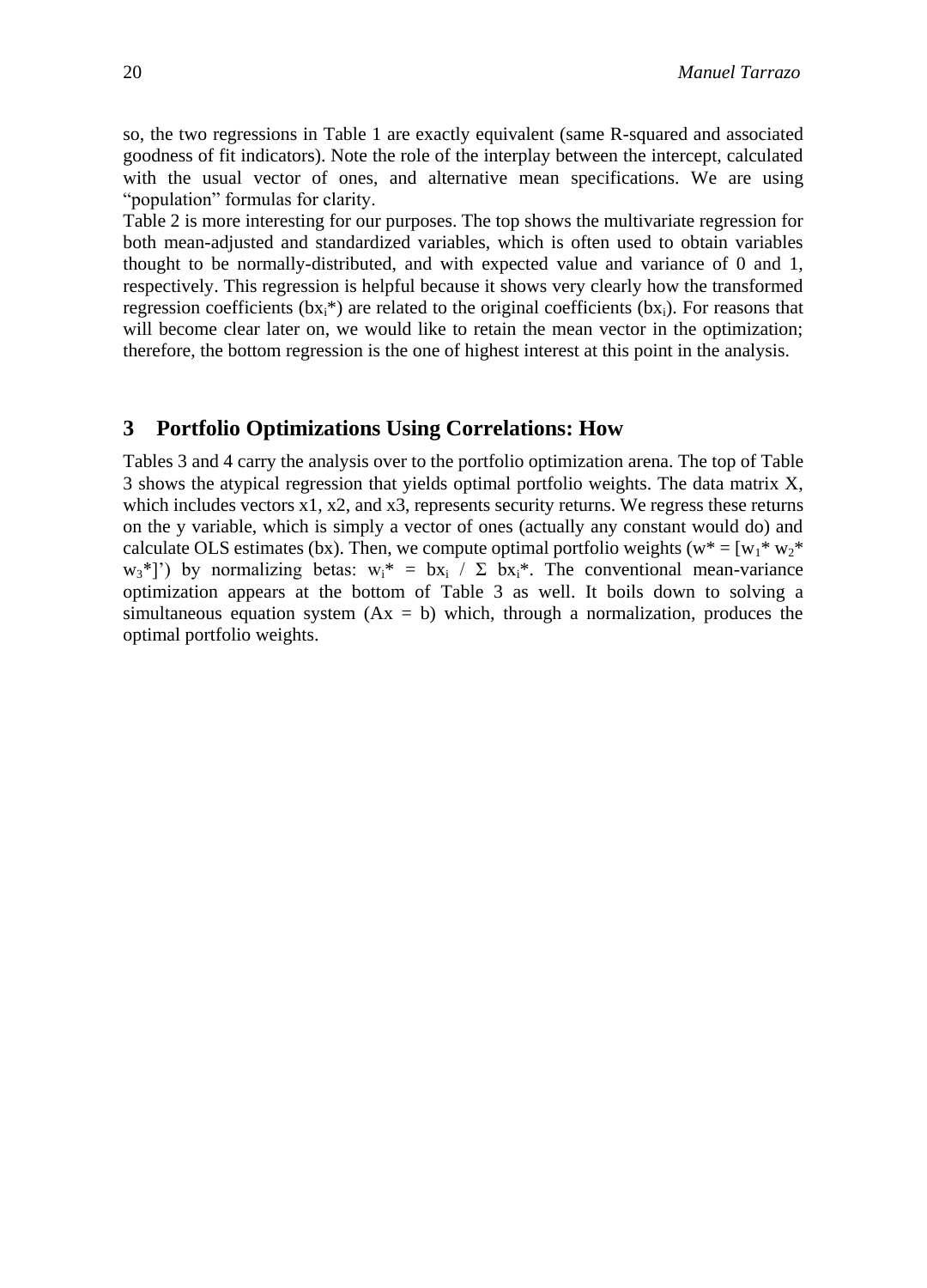so, the two regressions in Table 1 are exactly equivalent (same R-squared and associated goodness of fit indicators). Note the role of the interplay between the intercept, calculated with the usual vector of ones, and alternative mean specifications. We are using "population" formulas for clarity.

Table 2 is more interesting for our purposes. The top shows the multivariate regression for both mean-adjusted and standardized variables, which is often used to obtain variables thought to be normally-distributed, and with expected value and variance of 0 and 1, respectively. This regression is helpful because it shows very clearly how the transformed regression coefficients (bx<sub>i</sub>\*) are related to the original coefficients (bx<sub>i</sub>). For reasons that will become clear later on, we would like to retain the mean vector in the optimization; therefore, the bottom regression is the one of highest interest at this point in the analysis.

#### **3 Portfolio Optimizations Using Correlations: How**

Tables 3 and 4 carry the analysis over to the portfolio optimization arena. The top of Table 3 shows the atypical regression that yields optimal portfolio weights. The data matrix X, which includes vectors  $x1$ ,  $x2$ , and  $x3$ , represents security returns. We regress these returns on the y variable, which is simply a vector of ones (actually any constant would do) and calculate OLS estimates (bx). Then, we compute optimal portfolio weights ( $w^* = [w_1^* w_2^*]$  $w_3$ <sup>\*</sup>]') by normalizing betas:  $w_3$ <sup>\*</sup> = bx<sub>i</sub> /  $\Sigma$  bx<sub>i</sub><sup>\*</sup>. The conventional mean-variance optimization appears at the bottom of Table 3 as well. It boils down to solving a simultaneous equation system  $(Ax = b)$  which, through a normalization, produces the optimal portfolio weights.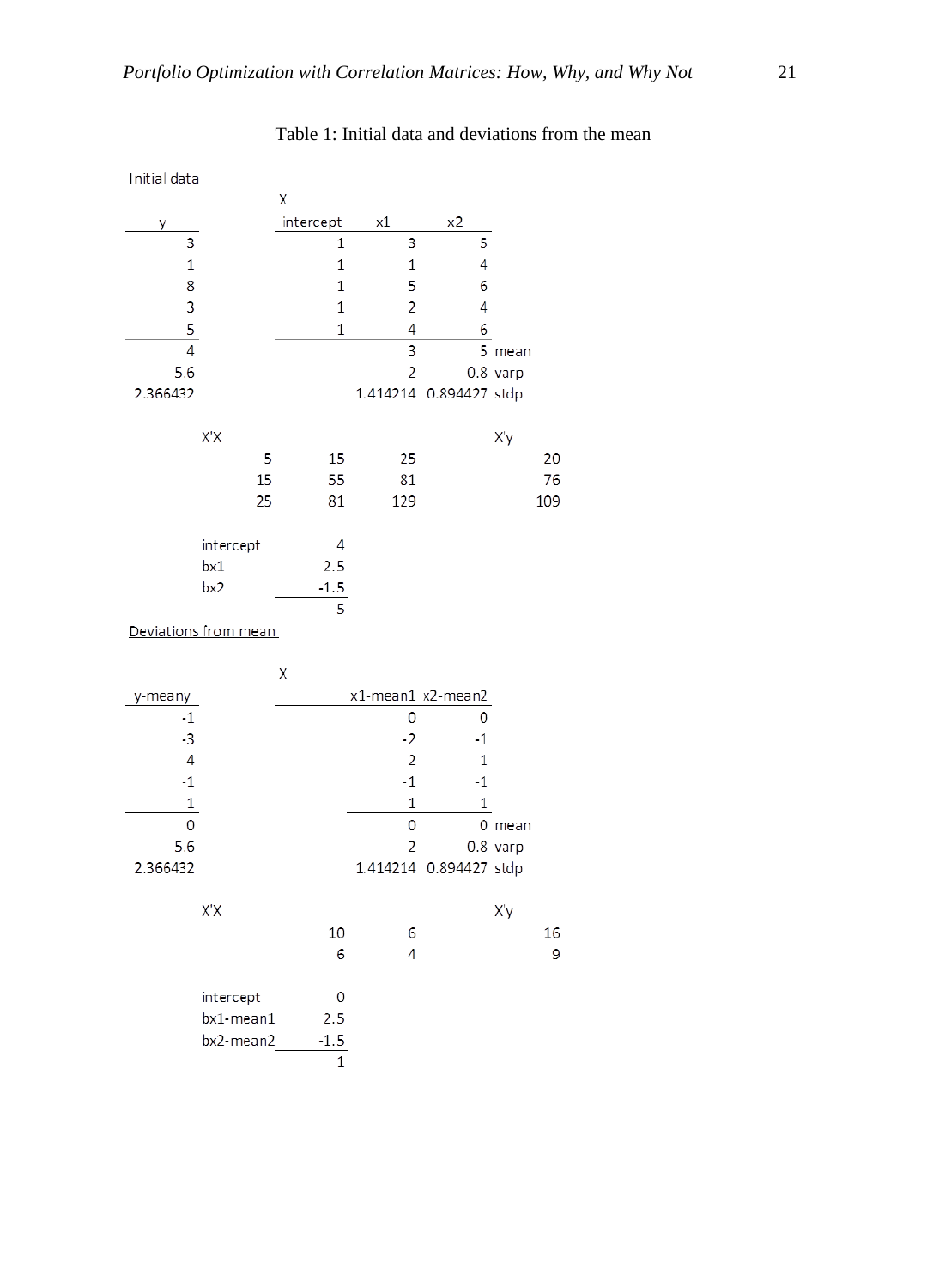| Initial data   |                      |             |                   |               |            |
|----------------|----------------------|-------------|-------------------|---------------|------------|
|                |                      | Χ           |                   |               |            |
| у              |                      | intercept   | х1                | x2            |            |
| 3              |                      | 1           | 3                 | 5             |            |
| $1\,$          |                      | 1           | $\mathbf 1$       | 4             |            |
| 8              |                      | 1           | 5                 | 6             |            |
| 3              |                      | 1           | $\overline{c}$    | 4             |            |
| 5              |                      | $\mathbf 1$ | 4                 | 6             |            |
| $\overline{4}$ |                      |             | 3                 |               | 5 mean     |
| 5.6            |                      |             | $\overline{c}$    |               | $0.8$ varp |
| 2.366432       |                      |             | 1.414214          | 0.894427 stdp |            |
|                | X'X                  |             |                   |               | X'y        |
|                | 5                    | 15          | 25                |               | 20         |
|                | 15                   | 55          | 81                |               | 76         |
|                | 25                   | 81          | 129               |               | 109        |
|                |                      |             |                   |               |            |
|                | intercept            | 4           |                   |               |            |
|                | bx1                  | 2.5         |                   |               |            |
|                | bx2                  | $-1.5$      |                   |               |            |
|                | Deviations from mean | 5           |                   |               |            |
|                |                      |             |                   |               |            |
|                |                      | Χ           |                   |               |            |
| y-meany        |                      |             | x1-mean1 x2-mean2 |               |            |
| $-1$           |                      |             | 0                 | 0             |            |
| $-3$           |                      |             | $-2$              | $-1$          |            |
| $\overline{4}$ |                      |             | $\overline{c}$    | 1             |            |
| $-1$           |                      |             | $-1$              | $-1$          |            |
| 1              |                      |             | $\mathbf 1$       | $\mathbf 1$   |            |
| 0              |                      |             | 0                 |               | 0 mean     |
| 5.6            |                      |             | $\overline{c}$    |               | 0.8 varp   |
| 2.366432       |                      |             | 1.414214          | 0.894427 stdp |            |
|                | X'X                  |             |                   |               | X'y        |
|                |                      | 10          | 6                 |               | 16         |
|                |                      | 6           | 4                 |               | 9          |
|                | intercept            | 0           |                   |               |            |
|                | bx1-mean1            | 2.5         |                   |               |            |
|                | bx2-mean2            | $-1.5$      |                   |               |            |
|                |                      | $\mathbf 1$ |                   |               |            |
|                |                      |             |                   |               |            |

# Table 1: Initial data and deviations from the mean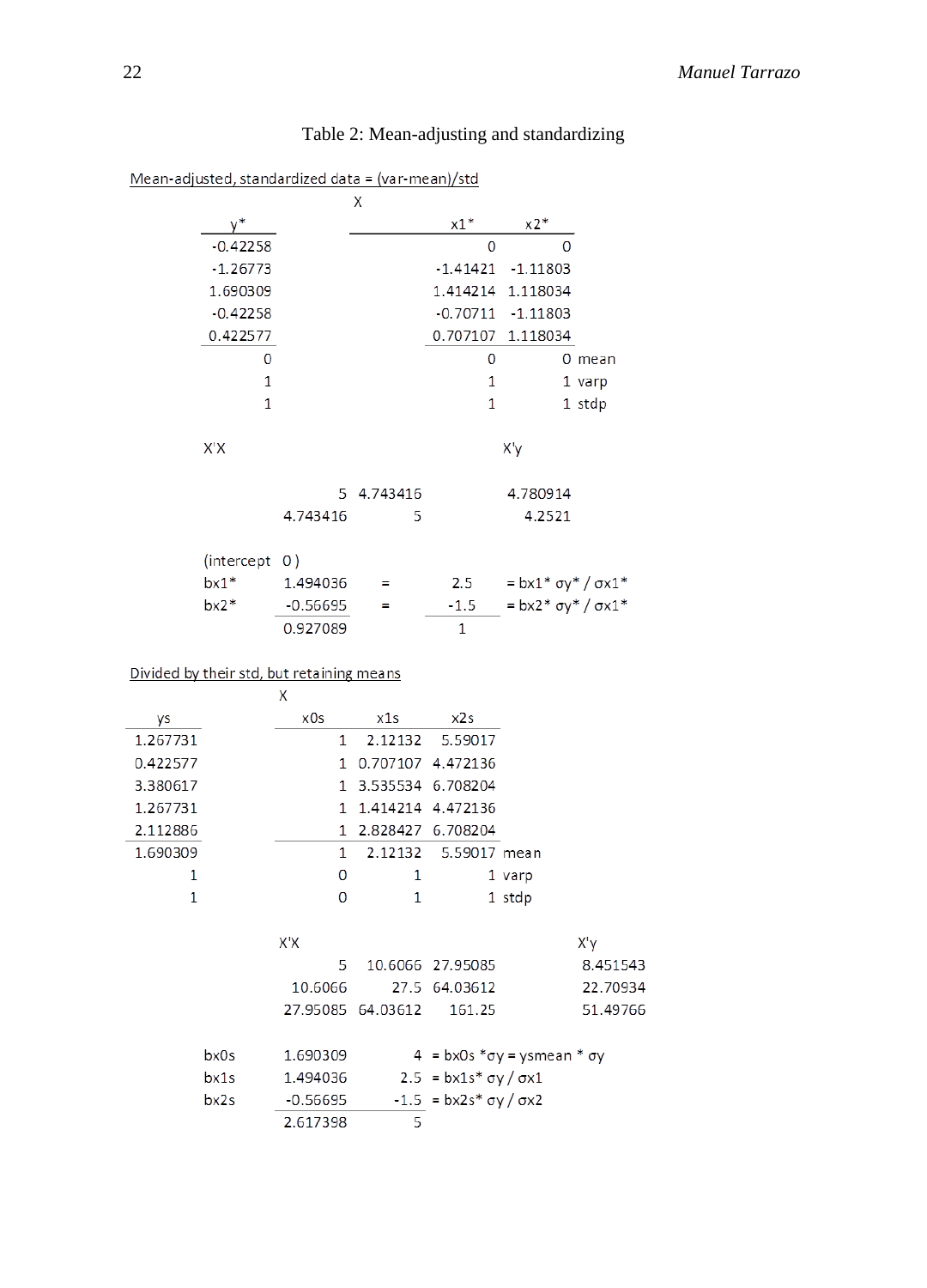|          |               | Mean-adjusted, standardized data = (var-mean)/std |                     |                                                     |                                           |          |
|----------|---------------|---------------------------------------------------|---------------------|-----------------------------------------------------|-------------------------------------------|----------|
|          |               |                                                   | Χ                   |                                                     |                                           |          |
|          |               |                                                   |                     | $x1*$                                               | x2*                                       |          |
|          | $-0.42258$    |                                                   |                     | 0                                                   | $\Omega$                                  |          |
|          | $-1.26773$    |                                                   |                     |                                                     | -1.41421 -1.11803                         |          |
|          | 1.690309      |                                                   |                     |                                                     | 1.414214 1.118034                         |          |
|          | $-0.42258$    |                                                   |                     |                                                     | $-0.70711 - 1.11803$                      |          |
|          | 0.422577      |                                                   |                     |                                                     | 0.707107 1.118034                         |          |
|          | 0             |                                                   |                     | 0                                                   |                                           | $0$ mean |
|          | 1             |                                                   |                     | 1                                                   |                                           | 1 varp   |
|          | 1             |                                                   |                     | 1                                                   |                                           | 1 stdp   |
|          | X'X           |                                                   |                     |                                                     | X'y                                       |          |
|          |               |                                                   | 5 4.743416          |                                                     | 4.780914                                  |          |
|          |               | 4.743416                                          | 5                   |                                                     | 4.2521                                    |          |
|          |               |                                                   |                     |                                                     |                                           |          |
|          | (intercept 0) |                                                   |                     |                                                     |                                           |          |
|          | $bx1*$        | 1.494036                                          | Ξ                   | 2.5                                                 | $= bx1 * \sigma y * / \sigma x1 *$        |          |
|          | $bx2*$        | $-0.56695$                                        | Ξ                   | $-1.5$                                              | $= bx2 * \sigma y * / \sigma x1 *$        |          |
|          |               | 0.927089                                          |                     | $\mathbf{1}$                                        |                                           |          |
|          |               | Divided by their std, but retaining means         |                     |                                                     |                                           |          |
|          |               | X                                                 |                     |                                                     |                                           |          |
| ys       |               | x0s                                               | x1s                 | x2s                                                 |                                           |          |
| 1.267731 |               | 1                                                 | 2.12132             | 5.59017                                             |                                           |          |
| 0.422577 |               | 1.                                                | 0.707107 4.472136   |                                                     |                                           |          |
| 3.380617 |               | 1.                                                | 3.535534 6.708204   |                                                     |                                           |          |
| 1.267731 |               | 1.                                                |                     | 1.414214 4.472136                                   |                                           |          |
| 2.112886 |               |                                                   | 1 2.828427 6.708204 |                                                     |                                           |          |
| 1.690309 |               | 1                                                 | 2.12132             | 5.59017 mean                                        |                                           |          |
| 1        |               | 0                                                 | 1                   |                                                     | 1 varp                                    |          |
| 1        |               | 0                                                 | 1                   |                                                     | 1 stdp                                    |          |
|          |               |                                                   |                     |                                                     |                                           |          |
|          |               | X'X                                               |                     |                                                     |                                           | X'y      |
|          |               | 5                                                 |                     | 10.6066 27.95085                                    |                                           | 8.451543 |
|          |               | 10.6066                                           |                     | 27.5 64.03612                                       |                                           | 22.70934 |
|          |               |                                                   | 27.95085 64.03612   | 161.25                                              |                                           | 51.49766 |
|          | bx0s          | 1.690309                                          |                     |                                                     | $4 = bx0s * \sigma y = ysmean * \sigma y$ |          |
|          | bx1s          | 1.494036                                          |                     | $2.5 = bx1s * \sigma y / \sigma x1$                 |                                           |          |
|          | bx2s          | $-0.56695$                                        |                     | $-1.5$ = bx2s <sup>*</sup> $\sigma$ y / $\sigma$ x2 |                                           |          |
|          |               | 2.617398                                          | 5                   |                                                     |                                           |          |
|          |               |                                                   |                     |                                                     |                                           |          |

# Table 2: Mean-adjusting and standardizing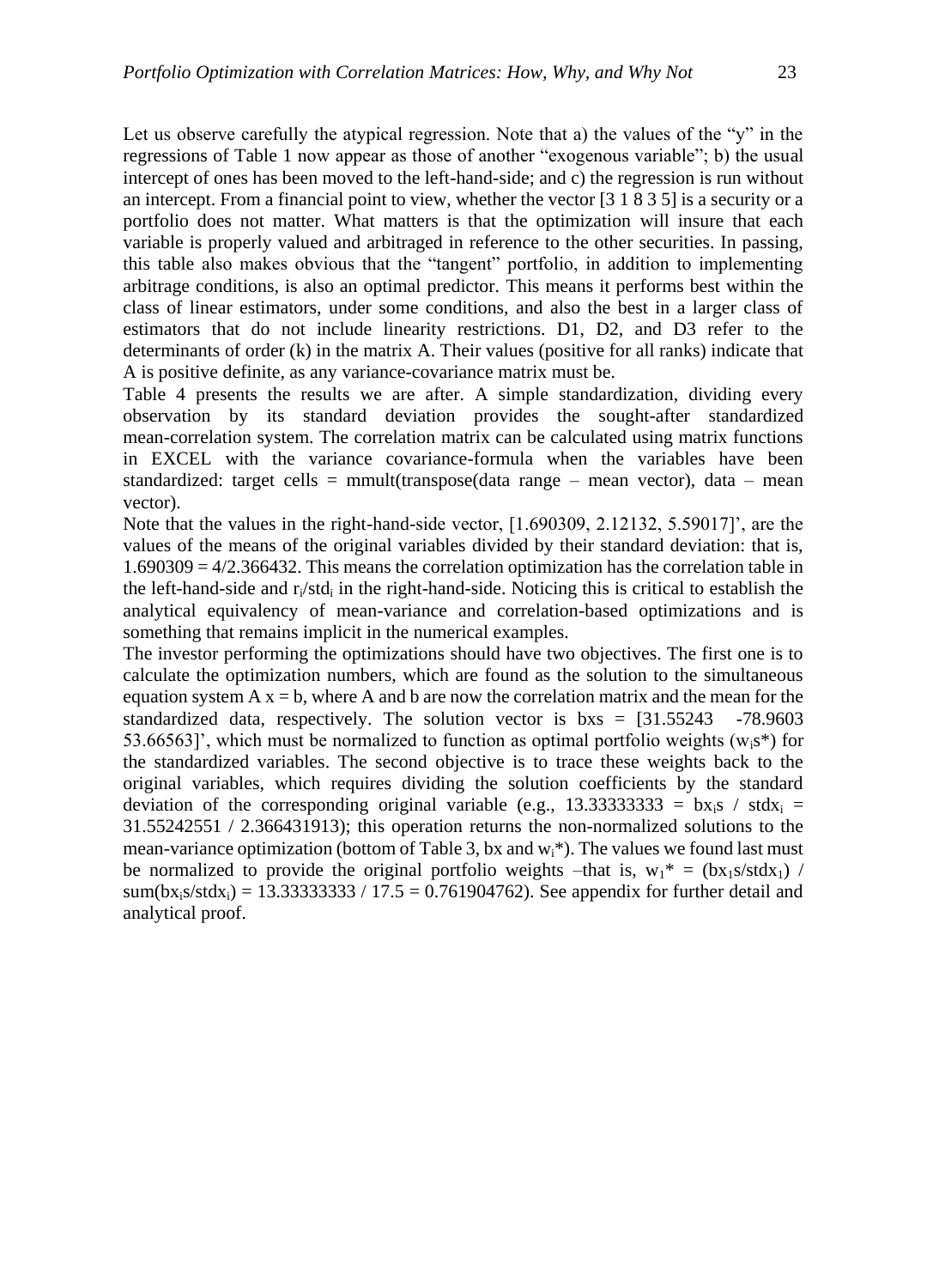Let us observe carefully the atypical regression. Note that a) the values of the "y" in the regressions of Table 1 now appear as those of another "exogenous variable"; b) the usual intercept of ones has been moved to the left-hand-side; and c) the regression is run without an intercept. From a financial point to view, whether the vector [3 1 8 3 5] is a security or a portfolio does not matter. What matters is that the optimization will insure that each variable is properly valued and arbitraged in reference to the other securities. In passing, this table also makes obvious that the "tangent" portfolio, in addition to implementing arbitrage conditions, is also an optimal predictor. This means it performs best within the class of linear estimators, under some conditions, and also the best in a larger class of estimators that do not include linearity restrictions. D1, D2, and D3 refer to the determinants of order (k) in the matrix A. Their values (positive for all ranks) indicate that A is positive definite, as any variance-covariance matrix must be.

Table 4 presents the results we are after. A simple standardization, dividing every observation by its standard deviation provides the sought-after standardized mean-correlation system. The correlation matrix can be calculated using matrix functions in EXCEL with the variance covariance-formula when the variables have been standardized: target cells = mmult(transpose(data range – mean vector), data – mean vector).

Note that the values in the right-hand-side vector, [1.690309, 2.12132, 5.59017]', are the values of the means of the original variables divided by their standard deviation: that is, 1.690309 = 4/2.366432. This means the correlation optimization has the correlation table in the left-hand-side and  $r_i$ /std<sub>i</sub> in the right-hand-side. Noticing this is critical to establish the analytical equivalency of mean-variance and correlation-based optimizations and is something that remains implicit in the numerical examples.

The investor performing the optimizations should have two objectives. The first one is to calculate the optimization numbers, which are found as the solution to the simultaneous equation system  $A x = b$ , where A and b are now the correlation matrix and the mean for the standardized data, respectively. The solution vector is  $bxs = [31.55243 -78.9603]$ 53.66563]', which must be normalized to function as optimal portfolio weights ( $w_i s^*$ ) for the standardized variables. The second objective is to trace these weights back to the original variables, which requires dividing the solution coefficients by the standard deviation of the corresponding original variable (e.g., 13.333333333 = bx<sub>i</sub>s / stdx<sub>i</sub> = 31.55242551 / 2.366431913); this operation returns the non-normalized solutions to the mean-variance optimization (bottom of Table 3, bx and  $w_i^*$ ). The values we found last must be normalized to provide the original portfolio weights –that is,  $w_1^* = (bx_1s/stdx_1)$ sum( $bx_i s / st dx_i$ ) = 13.33333333 / 17.5 = 0.761904762). See appendix for further detail and analytical proof.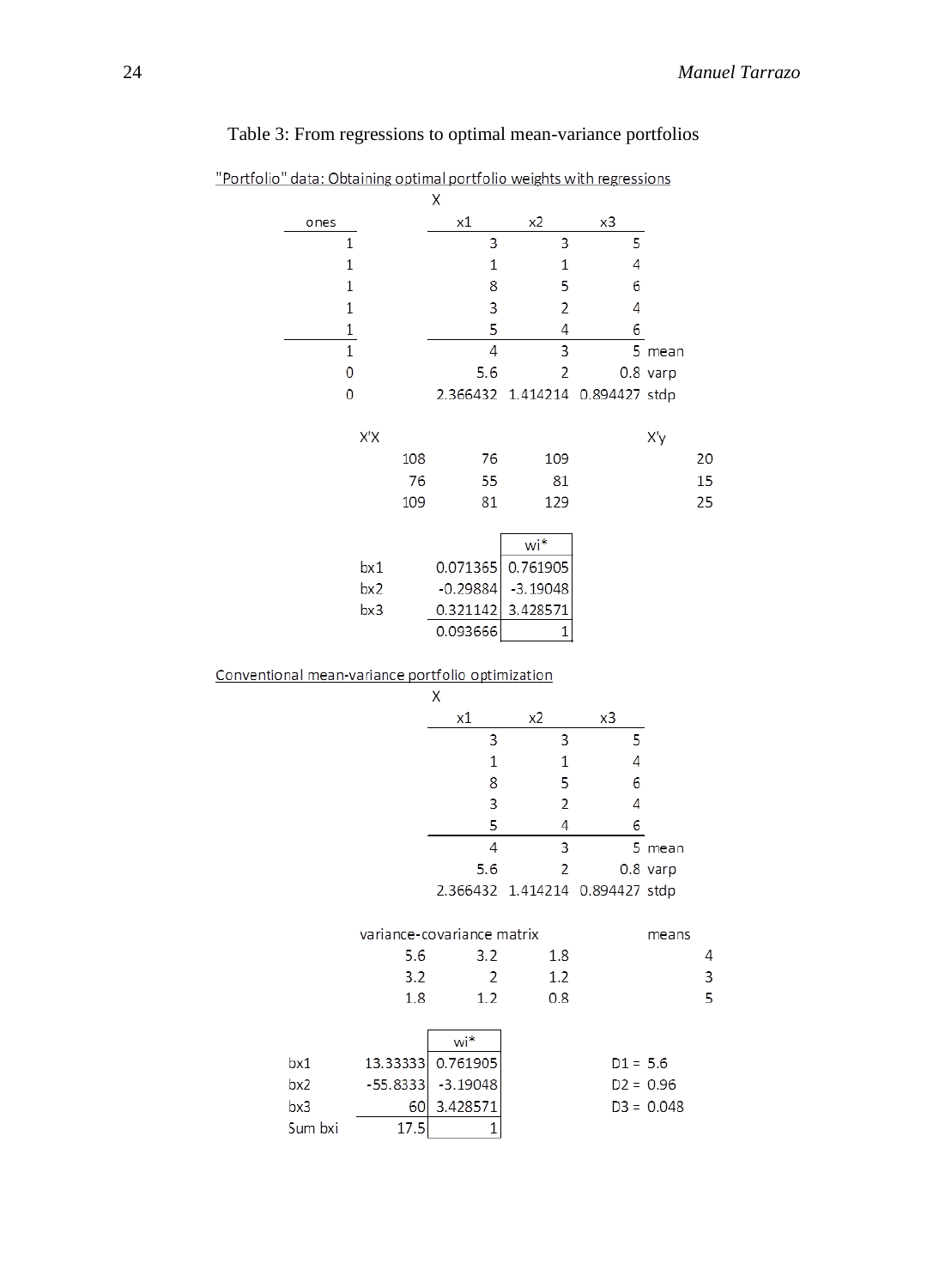| "Portfolio" data: Obtaining optimal portfolio weights with regressions |              |            |                            |                     |                        |              |    |
|------------------------------------------------------------------------|--------------|------------|----------------------------|---------------------|------------------------|--------------|----|
| ones                                                                   |              |            | Χ<br>х1                    | x2                  | x3                     |              |    |
|                                                                        | 1            |            | 3                          | 3                   | 5                      |              |    |
|                                                                        | 1            |            | $\mathbf 1$                | 1                   | 4                      |              |    |
|                                                                        | $\mathbf 1$  |            | 8                          | 5                   | 6                      |              |    |
|                                                                        | 1            |            | 3                          | 2                   | 4                      |              |    |
|                                                                        | $\mathbf 1$  |            | 5                          | 4                   | 6                      |              |    |
|                                                                        | $\mathbf{1}$ |            | 4                          | 3                   |                        | 5 mean       |    |
|                                                                        | 0            |            | 5.6                        | 2                   |                        | $0.8$ varp   |    |
|                                                                        | 0            |            | 2.366432                   | 1.414214            | 0.894427 stdp          |              |    |
|                                                                        | X'X          |            |                            |                     |                        | X'y          |    |
|                                                                        |              | 108        | 76                         | 109                 |                        |              | 20 |
|                                                                        |              | 76         | 55                         | 81                  |                        |              | 15 |
|                                                                        |              | 109        | 81                         | 129                 |                        |              | 25 |
|                                                                        |              |            |                            | wi*                 |                        |              |    |
|                                                                        | bx1          |            | 0.071365                   | 0.761905            |                        |              |    |
|                                                                        | bx2          |            | $-0.29884$                 | $-3.19048$          |                        |              |    |
|                                                                        |              |            | 0.321142                   |                     |                        |              |    |
|                                                                        | bx3          |            | 0.093666                   | 3.428571<br>1       |                        |              |    |
|                                                                        |              |            |                            |                     |                        |              |    |
| Conventional mean-variance portfolio optimization                      |              |            |                            |                     |                        |              |    |
|                                                                        |              |            | Χ                          |                     |                        |              |    |
|                                                                        |              |            | х1                         | x2                  | x3                     |              |    |
|                                                                        |              |            | 3                          | 3                   | 5                      |              |    |
|                                                                        |              |            | $\mathbf 1$                | 1                   | 4                      |              |    |
|                                                                        |              |            | 8                          | 5                   | 6                      |              |    |
|                                                                        |              |            | 3<br>5                     | $\overline{c}$<br>4 | 4<br>6                 |              |    |
|                                                                        |              |            | 4                          | 3                   |                        | 5 mean       |    |
|                                                                        |              |            | 5.6                        | $\overline{c}$      |                        | $0.8$ varp   |    |
|                                                                        |              |            | 2.366432                   |                     | 1.414214 0.894427 stdp |              |    |
|                                                                        |              |            |                            |                     |                        |              |    |
|                                                                        |              |            | variance-covariance matrix |                     |                        | means        |    |
|                                                                        |              | 5.6        | 3.2                        | 1.8                 |                        |              | 4  |
|                                                                        |              | 3.2        | 2                          | 1.2                 |                        |              | 3  |
|                                                                        |              | 1.8        | 1.2                        | 0.8                 |                        |              | 5  |
|                                                                        |              |            | wi*                        |                     |                        |              |    |
| bx1                                                                    | 13.33333     |            | 0.761905                   |                     | $D1 = 5.6$             |              |    |
|                                                                        |              |            |                            |                     |                        |              |    |
| bx2                                                                    | $-55.8333$   |            | $-3.19048$                 |                     |                        | $D2 = 0.96$  |    |
| bx3                                                                    |              | 60<br>17.5 | 3.428571                   |                     |                        | $D3 = 0.048$ |    |

# Table 3: From regressions to optimal mean-variance portfolios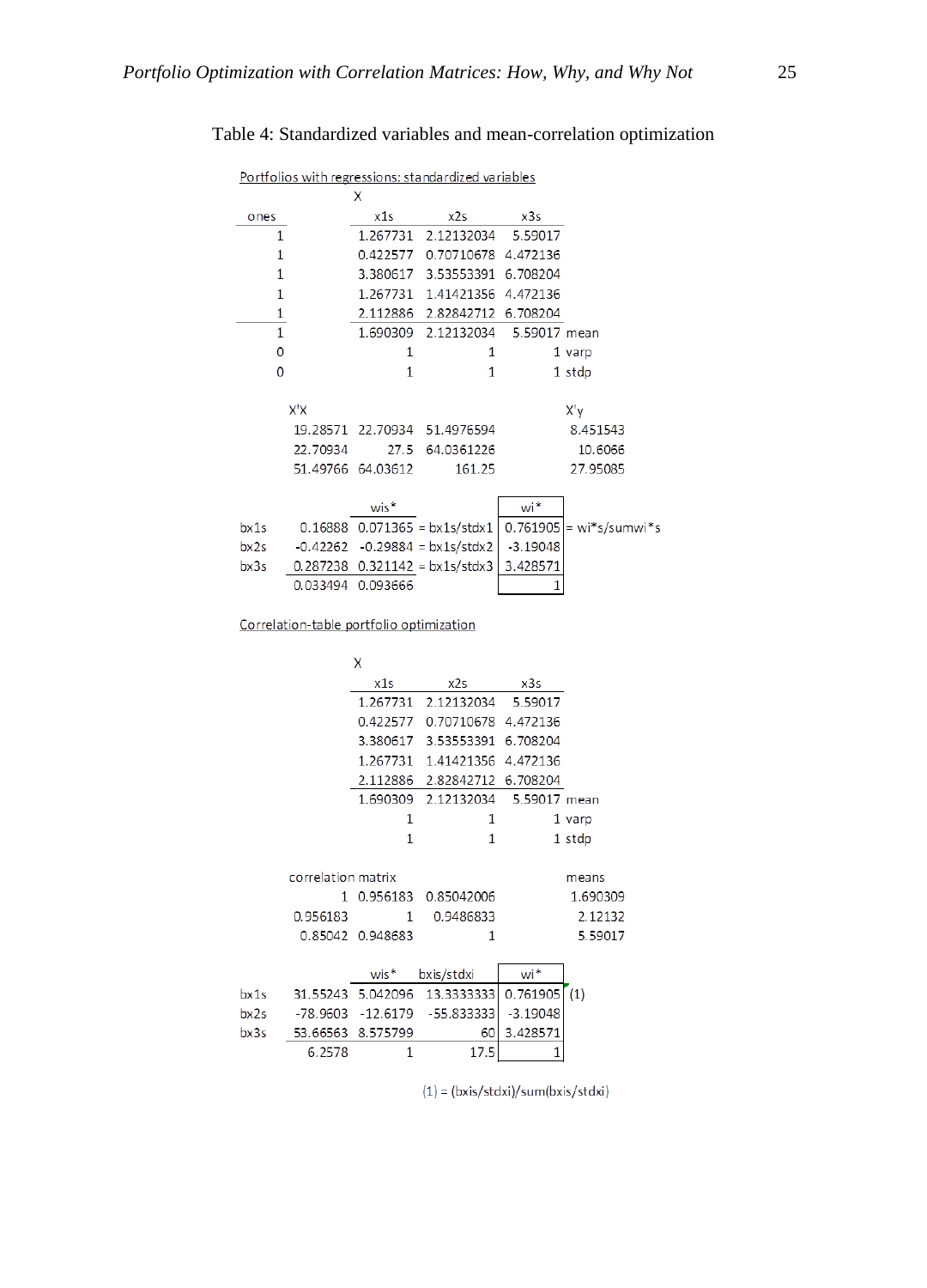### Table 4: Standardized variables and mean-correlation optimization

| Portfolios with regressions: standardized variables |  |
|-----------------------------------------------------|--|
|                                                     |  |

|      |              | х                 |                                    |              |                           |
|------|--------------|-------------------|------------------------------------|--------------|---------------------------|
| ones |              | x1s               | x2s                                | x3s          |                           |
|      | 1            |                   | 1.267731 2.12132034 5.59017        |              |                           |
|      | 1            |                   | 0.422577 0.70710678 4.472136       |              |                           |
|      | 1            |                   | 3.380617 3.53553391 6.708204       |              |                           |
|      | $\mathbf{1}$ |                   | 1.267731 1.41421356 4.472136       |              |                           |
|      | 1            |                   | 2.112886 2.82842712 6.708204       |              |                           |
|      | 1            |                   | 1.690309 2.12132034                | 5.59017 mean |                           |
|      | $\Omega$     | 1                 | 1                                  |              | 1 varp                    |
|      | $\Omega$     | 1                 | $\mathbf{1}$                       |              | 1 stdp                    |
|      |              |                   |                                    |              |                           |
|      | X'X          |                   |                                    |              | X'y                       |
|      |              |                   | 19.28571 22.70934 51.4976594       |              | 8.451543                  |
|      | 22.70934     |                   | 27.5 64.0361226                    |              | 10.6066                   |
|      |              | 51.49766 64.03612 | 161.25                             |              | 27.95085                  |
|      |              |                   |                                    |              |                           |
|      |              | $wis*$            |                                    | wi*          |                           |
| bx1s |              |                   | $0.16888$ $0.071365 = bx1s/stdx1$  |              | $0.761905$ = wi*s/sumwi*s |
| bx2s | -0.42262     |                   | $-0.29884 = bx1s/stdx2$            | $-3.19048$   |                           |
| bx3s |              |                   | $0.287238$ $0.321142 = bx1s/stdx3$ | 3.428571     |                           |
|      |              | 0.033494 0.093666 |                                    | 1            |                           |

Correlation-table portfolio optimization

|      |                    | Χ                 |                                  |              |          |
|------|--------------------|-------------------|----------------------------------|--------------|----------|
|      |                    | x1s               | x2s                              | x3s          |          |
|      |                    | 1.267731          | 2.12132034                       | 5.59017      |          |
|      |                    | 0.422577          | 0.70710678                       | 4.472136     |          |
|      |                    | 3.380617          | 3.53553391                       | 6.708204     |          |
|      |                    | 1.267731          | 1.41421356                       | 4.472136     |          |
|      |                    | 2.112886          | 2.82842712                       | 6.708204     |          |
|      |                    | 1.690309          | 2.12132034                       | 5.59017 mean |          |
|      |                    | 1                 | 1                                |              | 1 varp   |
|      |                    | 1                 | 1                                |              | 1 stdp   |
|      |                    |                   |                                  |              |          |
|      | correlation matrix |                   |                                  |              | means    |
|      | 1                  |                   | 0.956183 0.85042006              |              | 1.690309 |
|      | 0.956183           | 1                 | 0.9486833                        |              | 2.12132  |
|      |                    | 0.85042 0.948683  | 1                                |              | 5.59017  |
|      |                    |                   |                                  |              |          |
|      |                    | $wis*$            | bxis/stdxi                       | wi*          |          |
| bx1s |                    | 31.55243 5.042096 | 13.3333333                       | 0.761905     | (1)      |
| bx2s |                    |                   | $-78.9603 - 12.6179 - 55.833333$ | $-3.19048$   |          |
| bx3s |                    | 53.66563 8.575799 | 60                               | 3.428571     |          |
|      | 6.2578             | 1                 | 17.5                             | 1            |          |

 $(1) = (bxis/stdxi)/sum(bxis/stdxi)$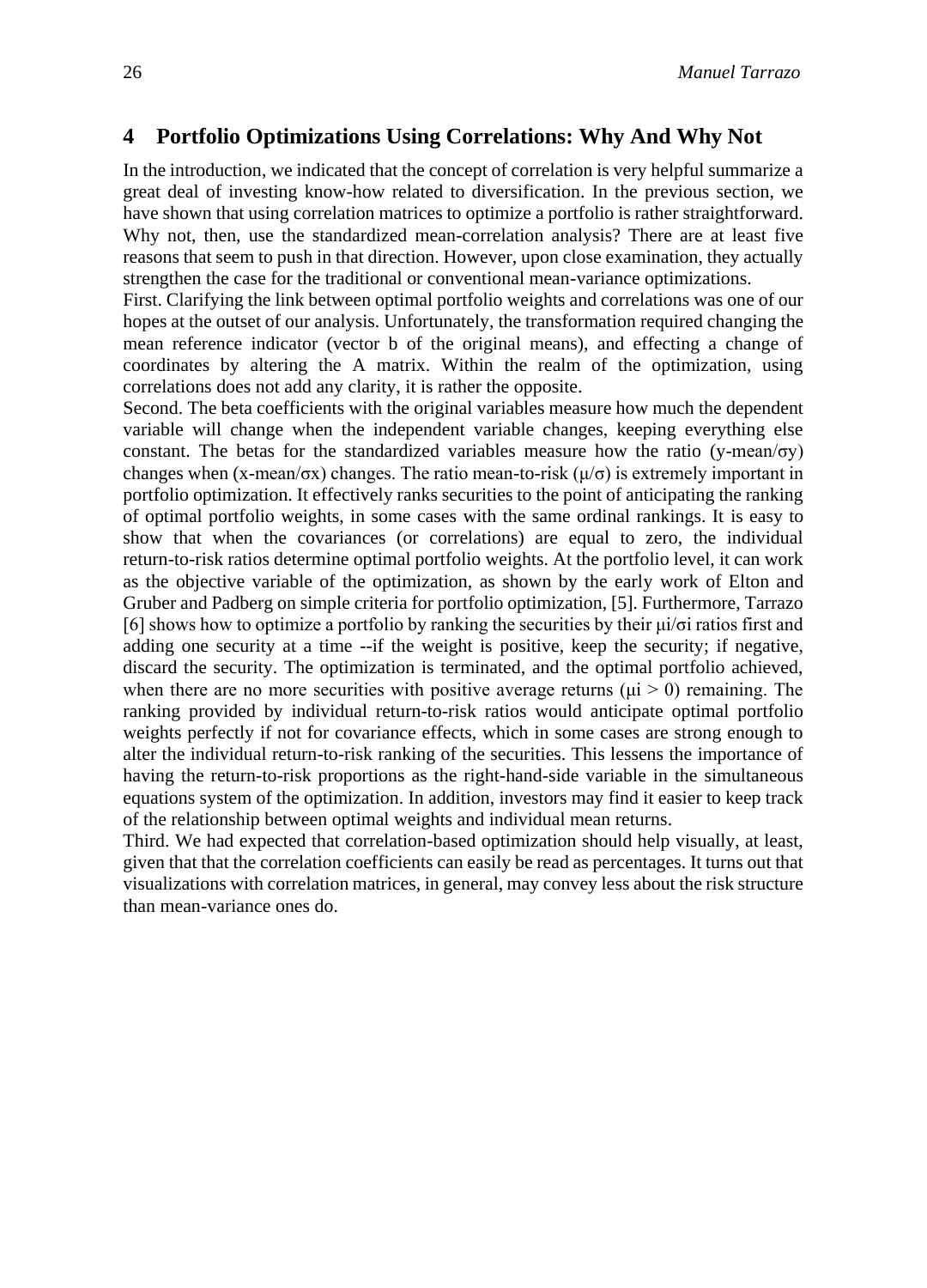### **4 Portfolio Optimizations Using Correlations: Why And Why Not**

In the introduction, we indicated that the concept of correlation is very helpful summarize a great deal of investing know-how related to diversification. In the previous section, we have shown that using correlation matrices to optimize a portfolio is rather straightforward. Why not, then, use the standardized mean-correlation analysis? There are at least five reasons that seem to push in that direction. However, upon close examination, they actually strengthen the case for the traditional or conventional mean-variance optimizations.

First. Clarifying the link between optimal portfolio weights and correlations was one of our hopes at the outset of our analysis. Unfortunately, the transformation required changing the mean reference indicator (vector b of the original means), and effecting a change of coordinates by altering the A matrix. Within the realm of the optimization, using correlations does not add any clarity, it is rather the opposite.

Second. The beta coefficients with the original variables measure how much the dependent variable will change when the independent variable changes, keeping everything else constant. The betas for the standardized variables measure how the ratio (y-mean/ $\sigma$ y) changes when (x-mean/σx) changes. The ratio mean-to-risk ( $\mu/\sigma$ ) is extremely important in portfolio optimization. It effectively ranks securities to the point of anticipating the ranking of optimal portfolio weights, in some cases with the same ordinal rankings. It is easy to show that when the covariances (or correlations) are equal to zero, the individual return-to-risk ratios determine optimal portfolio weights. At the portfolio level, it can work as the objective variable of the optimization, as shown by the early work of Elton and Gruber and Padberg on simple criteria for portfolio optimization, [5]. Furthermore, Tarrazo [6] shows how to optimize a portfolio by ranking the securities by their μi/σi ratios first and adding one security at a time --if the weight is positive, keep the security; if negative, discard the security. The optimization is terminated, and the optimal portfolio achieved, when there are no more securities with positive average returns ( $\mu$ i > 0) remaining. The ranking provided by individual return-to-risk ratios would anticipate optimal portfolio weights perfectly if not for covariance effects, which in some cases are strong enough to alter the individual return-to-risk ranking of the securities. This lessens the importance of having the return-to-risk proportions as the right-hand-side variable in the simultaneous equations system of the optimization. In addition, investors may find it easier to keep track of the relationship between optimal weights and individual mean returns.

Third. We had expected that correlation-based optimization should help visually, at least, given that that the correlation coefficients can easily be read as percentages. It turns out that visualizations with correlation matrices, in general, may convey less about the risk structure than mean-variance ones do.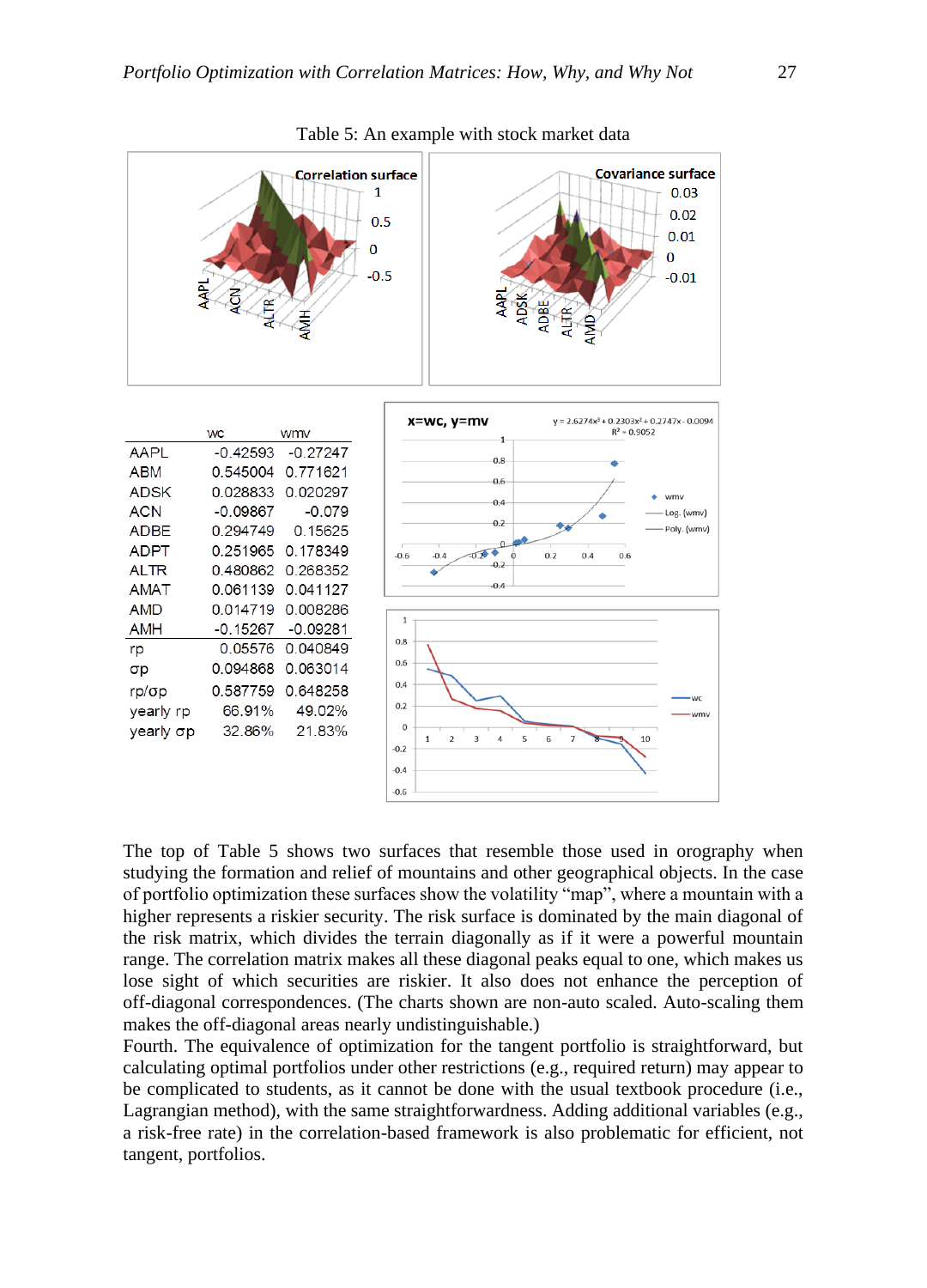

Table 5: An example with stock market data

The top of Table 5 shows two surfaces that resemble those used in orography when studying the formation and relief of mountains and other geographical objects. In the case of portfolio optimization these surfaces show the volatility "map", where a mountain with a higher represents a riskier security. The risk surface is dominated by the main diagonal of the risk matrix, which divides the terrain diagonally as if it were a powerful mountain range. The correlation matrix makes all these diagonal peaks equal to one, which makes us lose sight of which securities are riskier. It also does not enhance the perception of off-diagonal correspondences. (The charts shown are non-auto scaled. Auto-scaling them makes the off-diagonal areas nearly undistinguishable.)

Fourth. The equivalence of optimization for the tangent portfolio is straightforward, but calculating optimal portfolios under other restrictions (e.g., required return) may appear to be complicated to students, as it cannot be done with the usual textbook procedure (i.e., Lagrangian method), with the same straightforwardness. Adding additional variables (e.g., a risk-free rate) in the correlation-based framework is also problematic for efficient, not tangent, portfolios.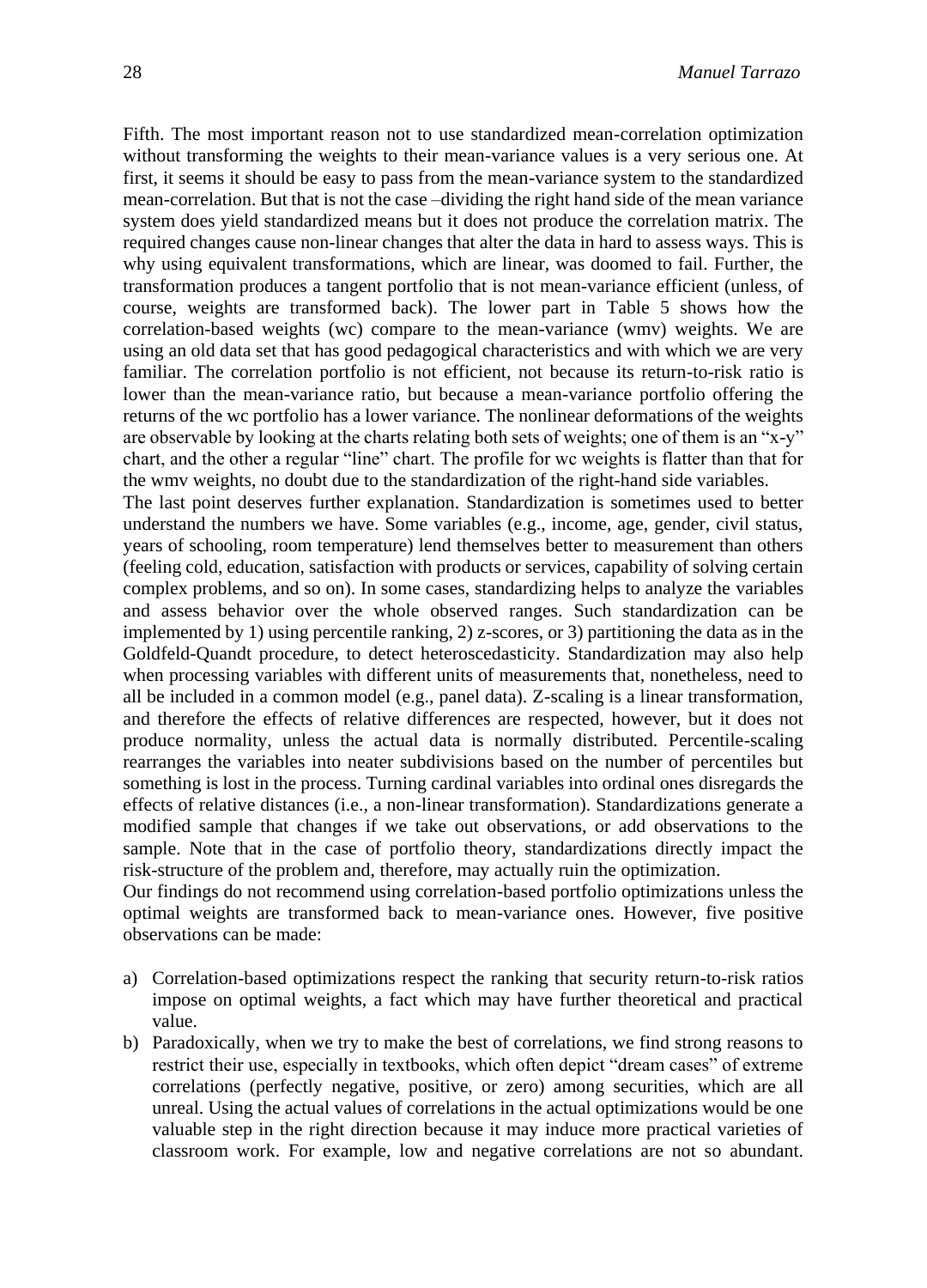Fifth. The most important reason not to use standardized mean-correlation optimization without transforming the weights to their mean-variance values is a very serious one. At first, it seems it should be easy to pass from the mean-variance system to the standardized mean-correlation. But that is not the case –dividing the right hand side of the mean variance system does yield standardized means but it does not produce the correlation matrix. The required changes cause non-linear changes that alter the data in hard to assess ways. This is why using equivalent transformations, which are linear, was doomed to fail. Further, the transformation produces a tangent portfolio that is not mean-variance efficient (unless, of course, weights are transformed back). The lower part in Table 5 shows how the correlation-based weights (wc) compare to the mean-variance (wmv) weights. We are using an old data set that has good pedagogical characteristics and with which we are very familiar. The correlation portfolio is not efficient, not because its return-to-risk ratio is lower than the mean-variance ratio, but because a mean-variance portfolio offering the returns of the wc portfolio has a lower variance. The nonlinear deformations of the weights are observable by looking at the charts relating both sets of weights; one of them is an "x-y" chart, and the other a regular "line" chart. The profile for wc weights is flatter than that for the wmv weights, no doubt due to the standardization of the right-hand side variables. The last point deserves further explanation. Standardization is sometimes used to better understand the numbers we have. Some variables (e.g., income, age, gender, civil status, years of schooling, room temperature) lend themselves better to measurement than others (feeling cold, education, satisfaction with products or services, capability of solving certain complex problems, and so on). In some cases, standardizing helps to analyze the variables and assess behavior over the whole observed ranges. Such standardization can be implemented by 1) using percentile ranking, 2) z-scores, or 3) partitioning the data as in the Goldfeld-Quandt procedure, to detect heteroscedasticity. Standardization may also help when processing variables with different units of measurements that, nonetheless, need to all be included in a common model (e.g., panel data). Z-scaling is a linear transformation, and therefore the effects of relative differences are respected, however, but it does not produce normality, unless the actual data is normally distributed. Percentile-scaling rearranges the variables into neater subdivisions based on the number of percentiles but something is lost in the process. Turning cardinal variables into ordinal ones disregards the effects of relative distances (i.e., a non-linear transformation). Standardizations generate a modified sample that changes if we take out observations, or add observations to the sample. Note that in the case of portfolio theory, standardizations directly impact the risk-structure of the problem and, therefore, may actually ruin the optimization.

Our findings do not recommend using correlation-based portfolio optimizations unless the optimal weights are transformed back to mean-variance ones. However, five positive observations can be made:

- a) Correlation-based optimizations respect the ranking that security return-to-risk ratios impose on optimal weights, a fact which may have further theoretical and practical value.
- b) Paradoxically, when we try to make the best of correlations, we find strong reasons to restrict their use, especially in textbooks, which often depict "dream cases" of extreme correlations (perfectly negative, positive, or zero) among securities, which are all unreal. Using the actual values of correlations in the actual optimizations would be one valuable step in the right direction because it may induce more practical varieties of classroom work. For example, low and negative correlations are not so abundant.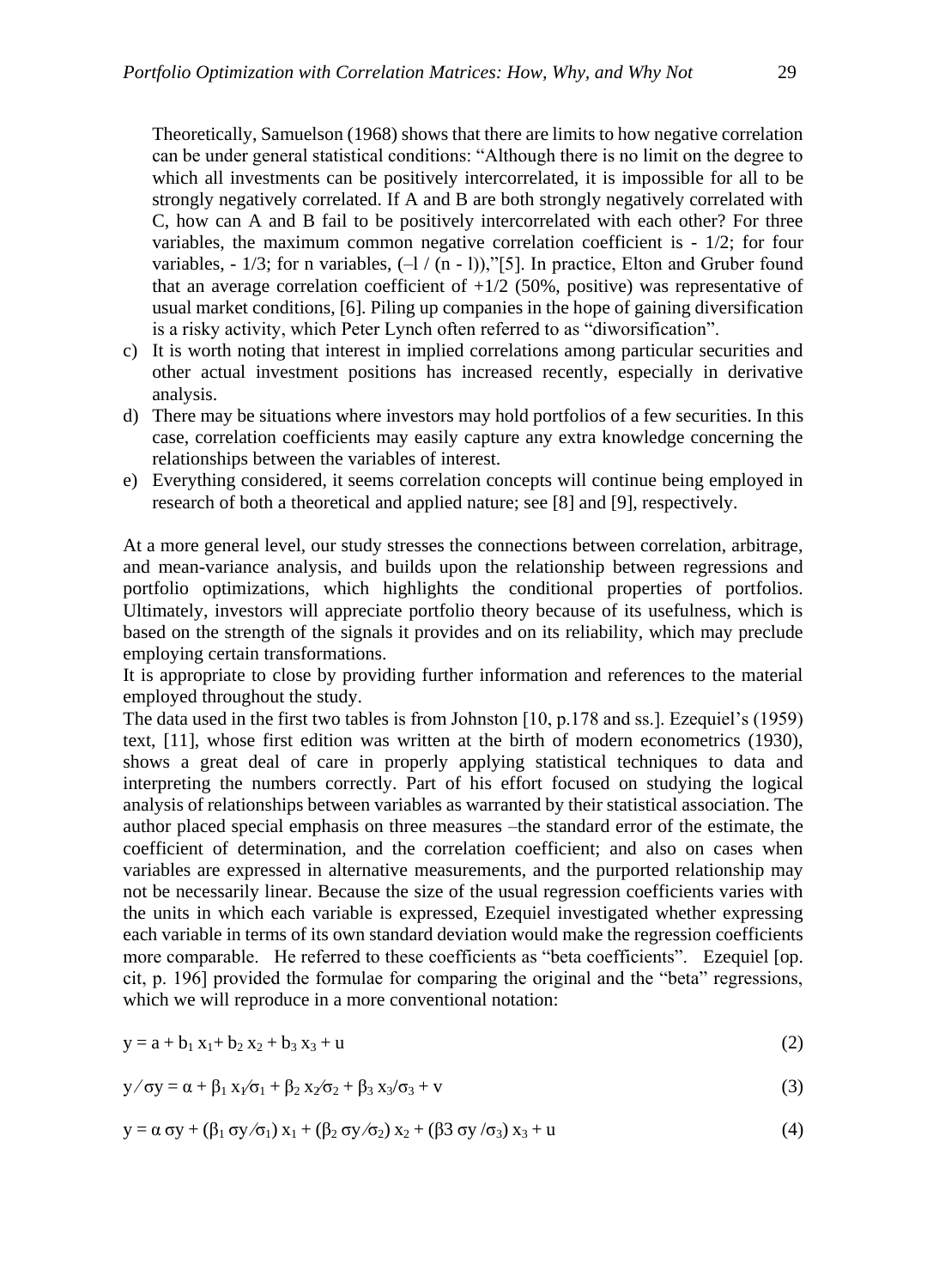Theoretically, Samuelson (1968) shows that there are limits to how negative correlation can be under general statistical conditions: "Although there is no limit on the degree to which all investments can be positively intercorrelated, it is impossible for all to be strongly negatively correlated. If A and B are both strongly negatively correlated with C, how can A and B fail to be positively intercorrelated with each other? For three variables, the maximum common negative correlation coefficient is - 1/2; for four variables,  $-1/3$ ; for n variables,  $(-1/(n-1))$ ,"[5]. In practice, Elton and Gruber found that an average correlation coefficient of  $+1/2$  (50%, positive) was representative of usual market conditions, [6]. Piling up companies in the hope of gaining diversification is a risky activity, which Peter Lynch often referred to as "diworsification".

- c) It is worth noting that interest in implied correlations among particular securities and other actual investment positions has increased recently, especially in derivative analysis.
- d) There may be situations where investors may hold portfolios of a few securities. In this case, correlation coefficients may easily capture any extra knowledge concerning the relationships between the variables of interest.
- e) Everything considered, it seems correlation concepts will continue being employed in research of both a theoretical and applied nature; see [8] and [9], respectively.

At a more general level, our study stresses the connections between correlation, arbitrage, and mean-variance analysis, and builds upon the relationship between regressions and portfolio optimizations, which highlights the conditional properties of portfolios. Ultimately, investors will appreciate portfolio theory because of its usefulness, which is based on the strength of the signals it provides and on its reliability, which may preclude employing certain transformations.

It is appropriate to close by providing further information and references to the material employed throughout the study.

The data used in the first two tables is from Johnston [10, p.178 and ss.]. Ezequiel's (1959) text, [11], whose first edition was written at the birth of modern econometrics (1930), shows a great deal of care in properly applying statistical techniques to data and interpreting the numbers correctly. Part of his effort focused on studying the logical analysis of relationships between variables as warranted by their statistical association. The author placed special emphasis on three measures –the standard error of the estimate, the coefficient of determination, and the correlation coefficient; and also on cases when variables are expressed in alternative measurements, and the purported relationship may not be necessarily linear. Because the size of the usual regression coefficients varies with the units in which each variable is expressed, Ezequiel investigated whether expressing each variable in terms of its own standard deviation would make the regression coefficients more comparable. He referred to these coefficients as "beta coefficients". Ezequiel [op. cit, p. 196] provided the formulae for comparing the original and the "beta" regressions, which we will reproduce in a more conventional notation:

$$
y = a + b_1 x_1 + b_2 x_2 + b_3 x_3 + u \tag{2}
$$

$$
y/\sigma y = \alpha + \beta_1 x_1/\sigma_1 + \beta_2 x_2/\sigma_2 + \beta_3 x_3/\sigma_3 + v \tag{3}
$$

$$
y = \alpha \sigma y + (\beta_1 \sigma y/\sigma_1) x_1 + (\beta_2 \sigma y/\sigma_2) x_2 + (\beta 3 \sigma y/\sigma_3) x_3 + u \tag{4}
$$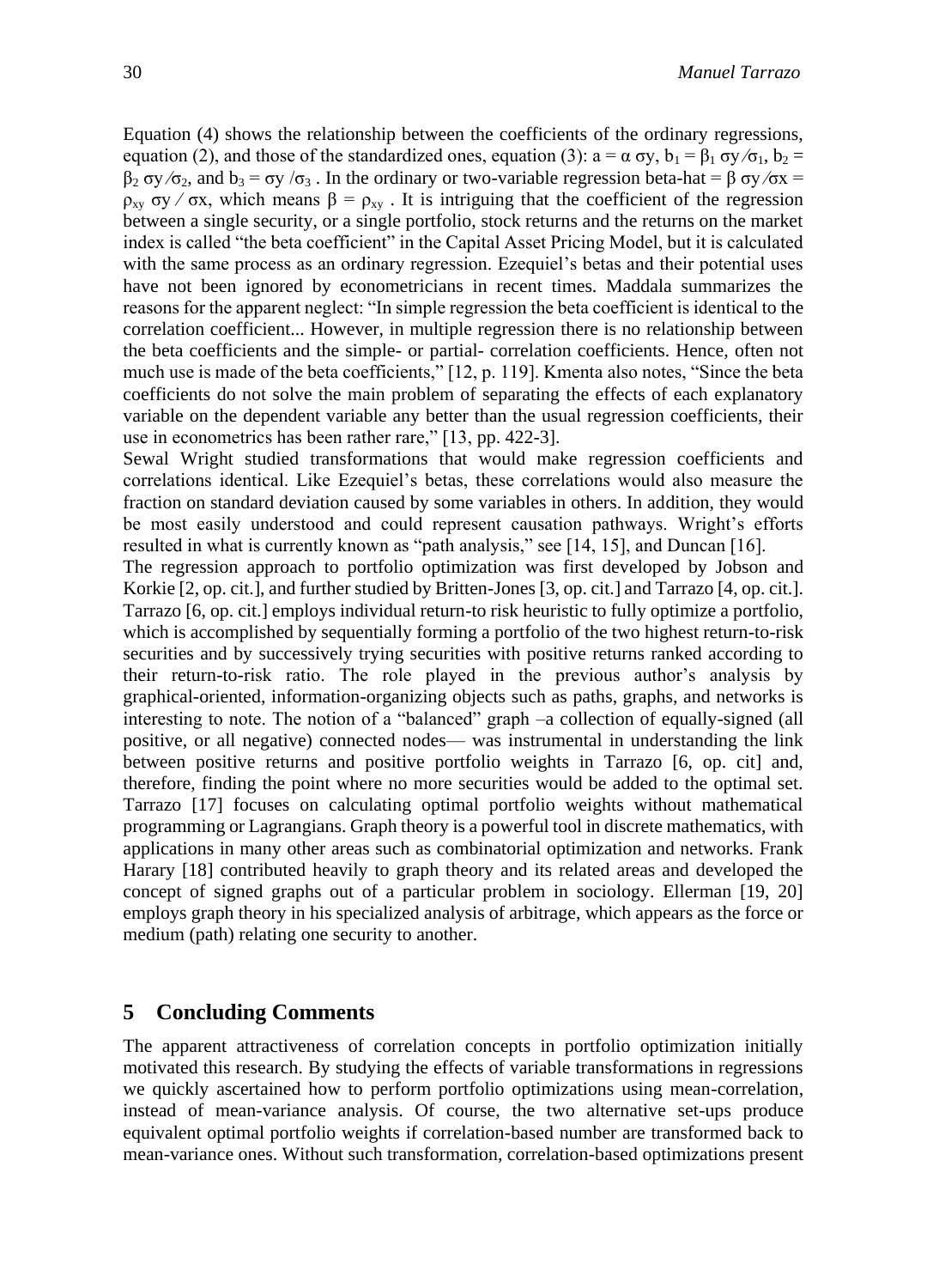Equation (4) shows the relationship between the coefficients of the ordinary regressions, equation (2), and those of the standardized ones, equation (3):  $a = \alpha \sigma y$ ,  $b_1 = \beta_1 \sigma y/\sigma_1$ ,  $b_2 =$  $β_2 σy/σ_2$ , and  $b_3 = σy/σ_3$ . In the ordinary or two-variable regression beta-hat = β σy/σx =  $ρ_{xy} σy / σx$ , which means  $β = ρ_{xy}$ . It is intriguing that the coefficient of the regression between a single security, or a single portfolio, stock returns and the returns on the market index is called "the beta coefficient" in the Capital Asset Pricing Model, but it is calculated with the same process as an ordinary regression. Ezequiel's betas and their potential uses have not been ignored by econometricians in recent times. Maddala summarizes the reasons for the apparent neglect: "In simple regression the beta coefficient is identical to the correlation coefficient... However, in multiple regression there is no relationship between the beta coefficients and the simple- or partial- correlation coefficients. Hence, often not much use is made of the beta coefficients,"  $[12, p. 119]$ . Kmenta also notes, "Since the beta coefficients do not solve the main problem of separating the effects of each explanatory variable on the dependent variable any better than the usual regression coefficients, their use in econometrics has been rather rare," [13, pp. 422-3].

Sewal Wright studied transformations that would make regression coefficients and correlations identical. Like Ezequiel's betas, these correlations would also measure the fraction on standard deviation caused by some variables in others. In addition, they would be most easily understood and could represent causation pathways. Wright's efforts resulted in what is currently known as "path analysis," see  $[14, 15]$ , and Duncan  $[16]$ .

The regression approach to portfolio optimization was first developed by Jobson and Korkie [2, op. cit.], and further studied by Britten-Jones [3, op. cit.] and Tarrazo [4, op. cit.]. Tarrazo [6, op. cit.] employs individual return-to risk heuristic to fully optimize a portfolio, which is accomplished by sequentially forming a portfolio of the two highest return-to-risk securities and by successively trying securities with positive returns ranked according to their return-to-risk ratio. The role played in the previous author's analysis by graphical-oriented, information-organizing objects such as paths, graphs, and networks is interesting to note. The notion of a "balanced" graph –a collection of equally-signed (all positive, or all negative) connected nodes— was instrumental in understanding the link between positive returns and positive portfolio weights in Tarrazo [6, op. cit] and, therefore, finding the point where no more securities would be added to the optimal set. Tarrazo [17] focuses on calculating optimal portfolio weights without mathematical programming or Lagrangians. Graph theory is a powerful tool in discrete mathematics, with applications in many other areas such as combinatorial optimization and networks. Frank Harary [18] contributed heavily to graph theory and its related areas and developed the concept of signed graphs out of a particular problem in sociology. Ellerman [19, 20] employs graph theory in his specialized analysis of arbitrage, which appears as the force or medium (path) relating one security to another.

### **5 Concluding Comments**

The apparent attractiveness of correlation concepts in portfolio optimization initially motivated this research. By studying the effects of variable transformations in regressions we quickly ascertained how to perform portfolio optimizations using mean-correlation, instead of mean-variance analysis. Of course, the two alternative set-ups produce equivalent optimal portfolio weights if correlation-based number are transformed back to mean-variance ones. Without such transformation, correlation-based optimizations present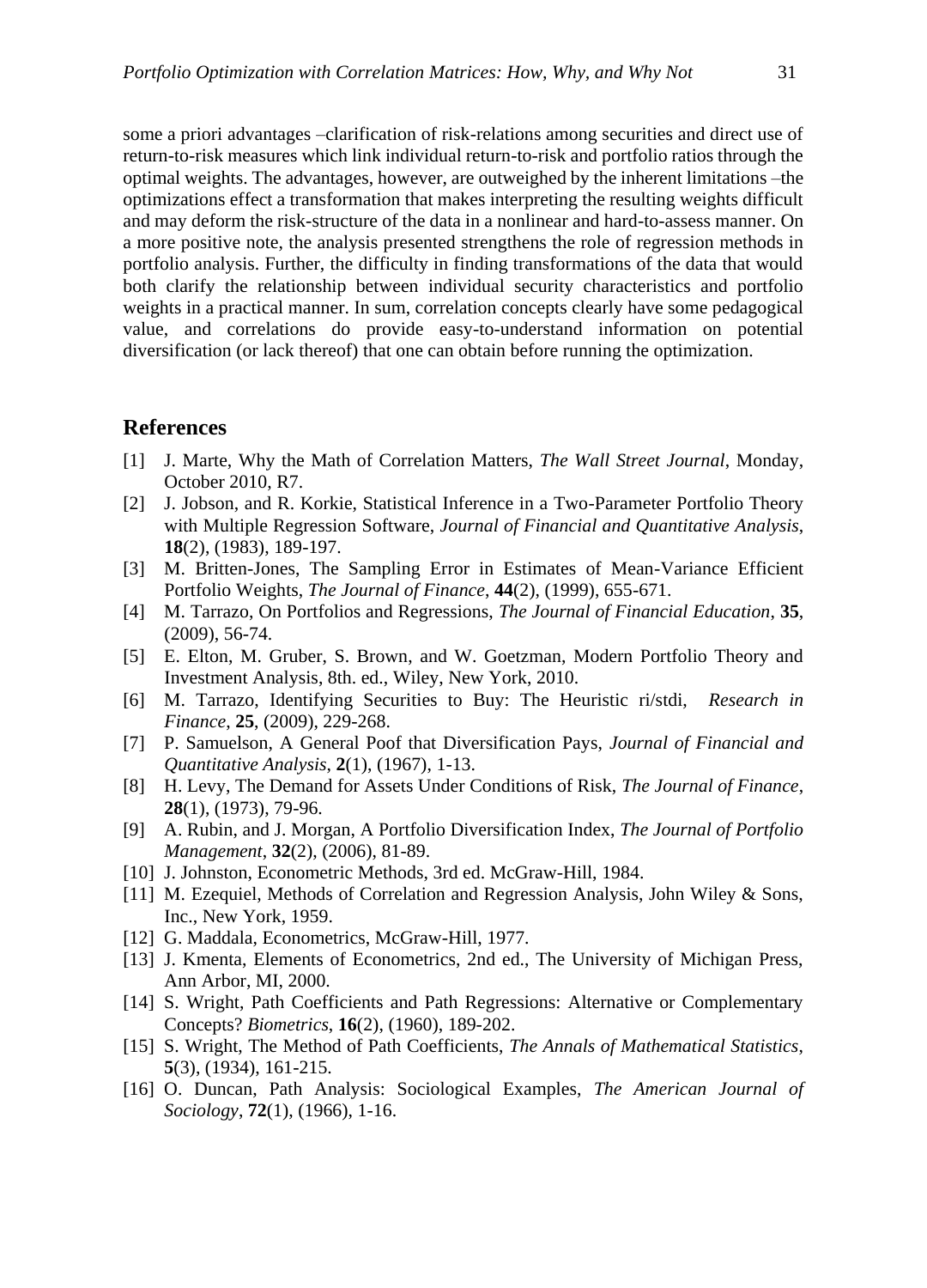some a priori advantages –clarification of risk-relations among securities and direct use of return-to-risk measures which link individual return-to-risk and portfolio ratios through the optimal weights. The advantages, however, are outweighed by the inherent limitations –the optimizations effect a transformation that makes interpreting the resulting weights difficult and may deform the risk-structure of the data in a nonlinear and hard-to-assess manner. On a more positive note, the analysis presented strengthens the role of regression methods in portfolio analysis. Further, the difficulty in finding transformations of the data that would both clarify the relationship between individual security characteristics and portfolio weights in a practical manner. In sum, correlation concepts clearly have some pedagogical value, and correlations do provide easy-to-understand information on potential diversification (or lack thereof) that one can obtain before running the optimization.

### **References**

- [1] J. Marte, Why the Math of Correlation Matters, *The Wall Street Journal*, Monday, October 2010, R7.
- [2] J. Jobson, and R. Korkie, Statistical Inference in a Two-Parameter Portfolio Theory with Multiple Regression Software, *Journal of Financial and Quantitative Analysis*, **18**(2), (1983), 189-197.
- [3] M. Britten-Jones, The Sampling Error in Estimates of Mean-Variance Efficient Portfolio Weights, *The Journal of Finance*, **44**(2), (1999), 655-671.
- [4] M. Tarrazo, On Portfolios and Regressions, *The Journal of Financial Education*, **35**, (2009), 56-74.
- [5] E. Elton, M. Gruber, S. Brown, and W. Goetzman, Modern Portfolio Theory and Investment Analysis, 8th. ed., Wiley, New York, 2010.
- [6] M. Tarrazo, Identifying Securities to Buy: The Heuristic ri/stdi, *Research in Finance*, **25**, (2009), 229-268.
- [7] P. Samuelson, A General Poof that Diversification Pays, *Journal of Financial and Quantitative Analysis*, **2**(1), (1967), 1-13.
- [8] H. Levy, The Demand for Assets Under Conditions of Risk, *The Journal of Finance*, **28**(1), (1973), 79-96.
- [9] A. Rubin, and J. Morgan, A Portfolio Diversification Index, *The Journal of Portfolio Management*, **32**(2), (2006), 81-89.
- [10] J. Johnston, Econometric Methods, 3rd ed. McGraw-Hill, 1984.
- [11] M. Ezequiel, Methods of Correlation and Regression Analysis, John Wiley & Sons, Inc., New York, 1959.
- [12] G. Maddala, Econometrics, McGraw-Hill, 1977.
- [13] J. Kmenta, Elements of Econometrics, 2nd ed., The University of Michigan Press, Ann Arbor, MI, 2000.
- [14] S. Wright, Path Coefficients and Path Regressions: Alternative or Complementary Concepts? *Biometrics*, **16**(2), (1960), 189-202.
- [15] S. Wright, The Method of Path Coefficients, *The Annals of Mathematical Statistics*, **5**(3), (1934), 161-215.
- [16] O. Duncan, Path Analysis: Sociological Examples, *The American Journal of Sociology*, **72**(1), (1966), 1-16.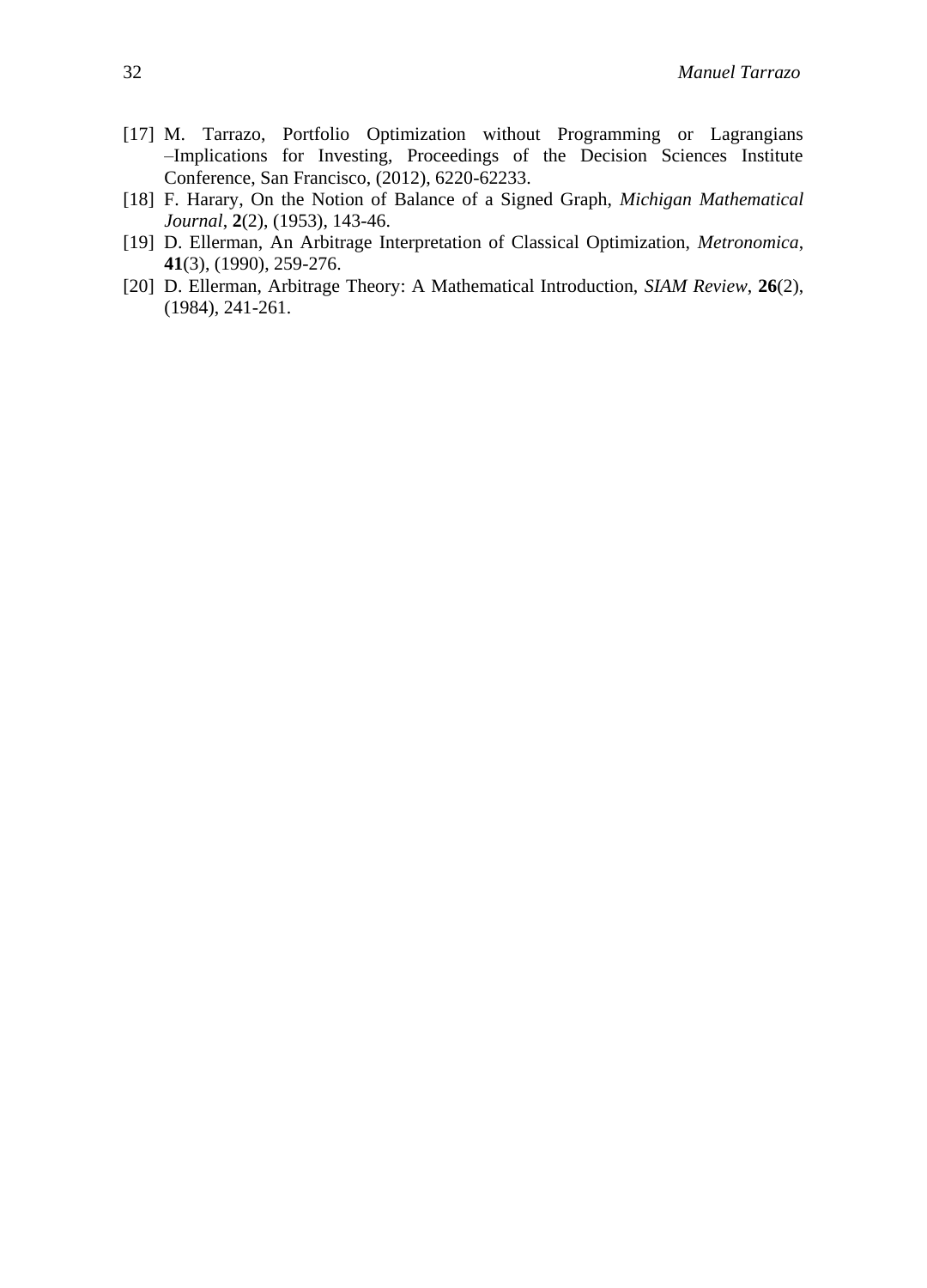- [17] M. Tarrazo, Portfolio Optimization without Programming or Lagrangians –Implications for Investing, Proceedings of the Decision Sciences Institute Conference, San Francisco, (2012), 6220-62233.
- [18] F. Harary, On the Notion of Balance of a Signed Graph, *Michigan Mathematical Journal*, **2**(2), (1953), 143-46.
- [19] D. Ellerman, An Arbitrage Interpretation of Classical Optimization, *Metronomica*, **41**(3), (1990), 259-276.
- [20] D. Ellerman, Arbitrage Theory: A Mathematical Introduction, *SIAM Review*, **26**(2), (1984), 241-261.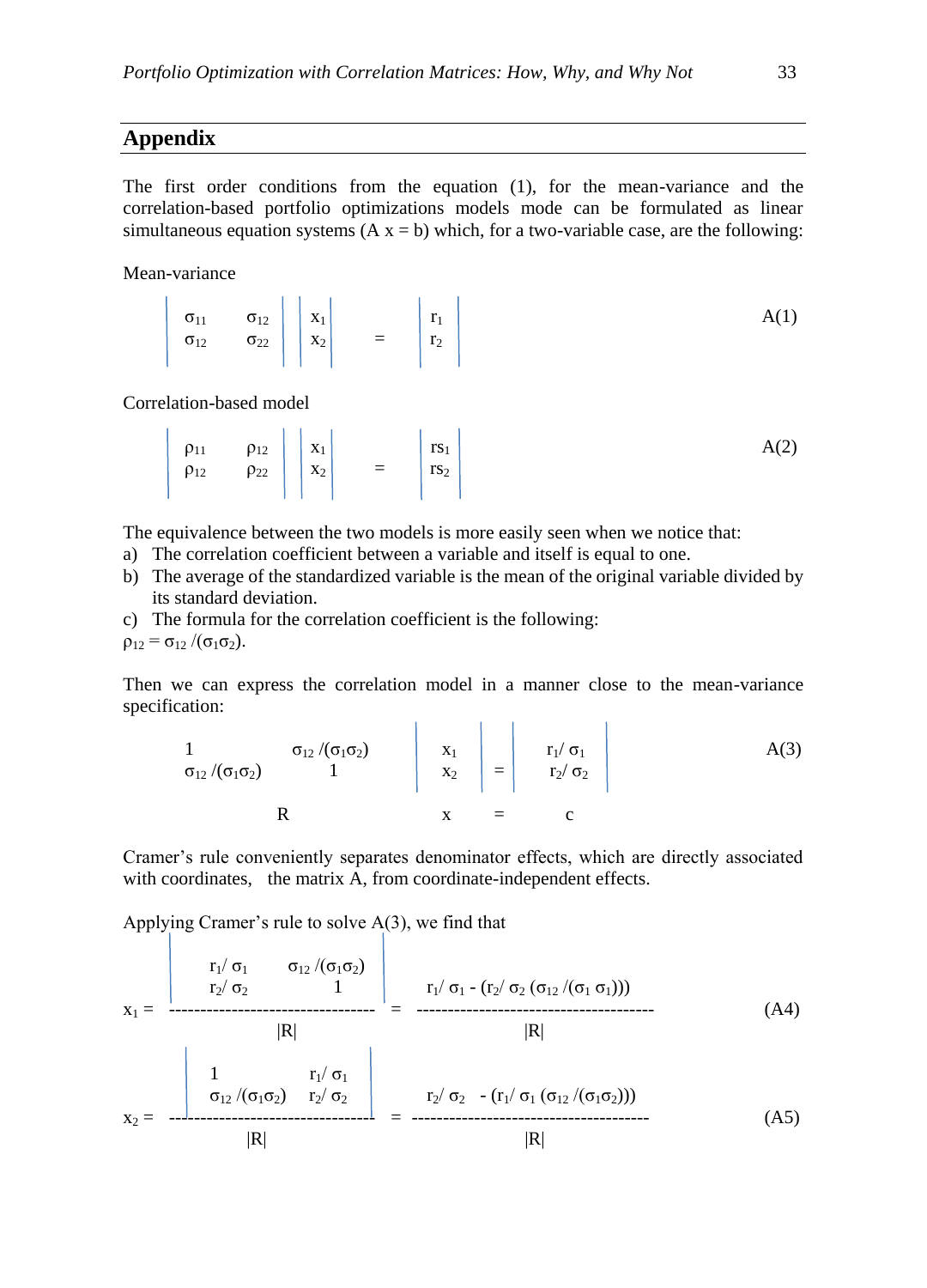### **Appendix**

The first order conditions from the equation (1), for the mean-variance and the correlation-based portfolio optimizations models mode can be formulated as linear simultaneous equation systems  $(A x = b)$  which, for a two-variable case, are the following:

Mean-variance

|  | $\begin{vmatrix} \sigma_{11} & \sigma_{12} \\ \sigma_{12} & \sigma_{22} \end{vmatrix}$ $\begin{vmatrix} x_1 \\ x_2 \end{vmatrix}$ = $\begin{vmatrix} r_1 \\ r_2 \end{vmatrix}$ |  |  |  |
|--|--------------------------------------------------------------------------------------------------------------------------------------------------------------------------------|--|--|--|
|  |                                                                                                                                                                                |  |  |  |
|  |                                                                                                                                                                                |  |  |  |

Correlation-based model

$$
\left|\begin{array}{cc} \rho_{11} & \rho_{12} \\ \rho_{12} & \rho_{22} \end{array}\right| \left|\begin{array}{c} x_1 \\ x_2 \end{array}\right| = \left|\begin{array}{c} rs_1 \\ rs_2 \end{array}\right| \qquad (A(2)
$$

The equivalence between the two models is more easily seen when we notice that:

- a) The correlation coefficient between a variable and itself is equal to one.
- b) The average of the standardized variable is the mean of the original variable divided by its standard deviation.
- c) The formula for the correlation coefficient is the following:

 $\rho_{12} = \sigma_{12} / (\sigma_1 \sigma_2).$ 

Then we can express the correlation model in a manner close to the mean-variance specification:

$$
\begin{array}{ccc}\n1 & \sigma_{12}/(\sigma_1 \sigma_2) \\
\sigma_{12}/(\sigma_1 \sigma_2) & 1\n\end{array}\n\begin{array}{c}\nx_1 \\
x_2\n\end{array}\n=\n\begin{array}{ccc}\nr_1/\sigma_1 \\
r_2/\sigma_2\n\end{array}
$$
\nA(3)

Cramer's rule conveniently separates denominator effects, which are directly associated with coordinates, the matrix A, from coordinate-independent effects.

Applying Cramer's rule to solve A(3), we find that

$$
x_{1} = \frac{\begin{vmatrix} r_{1}/\sigma_{1} & \sigma_{12}/(\sigma_{1}\sigma_{2}) \\ r_{2}/\sigma_{2} & 1 \end{vmatrix}}{\begin{vmatrix} R \end{vmatrix}} = \frac{r_{1}/\sigma_{1} - (r_{2}/\sigma_{2} (\sigma_{12}/(\sigma_{1} \sigma_{1})))}{\begin{vmatrix} R \end{vmatrix}}
$$
(A4)  
\n
$$
x_{2} = \frac{\begin{vmatrix} 1 & r_{1}/\sigma_{1} \\ \sigma_{12}/(\sigma_{1}\sigma_{2}) & r_{2}/\sigma_{2} \end{vmatrix}}{\begin{vmatrix} R \end{vmatrix}} = \frac{r_{2}/\sigma_{2} - (r_{1}/\sigma_{1} (\sigma_{12}/(\sigma_{1}\sigma_{2})))}{\begin{vmatrix} R \end{vmatrix}}
$$
(A5)